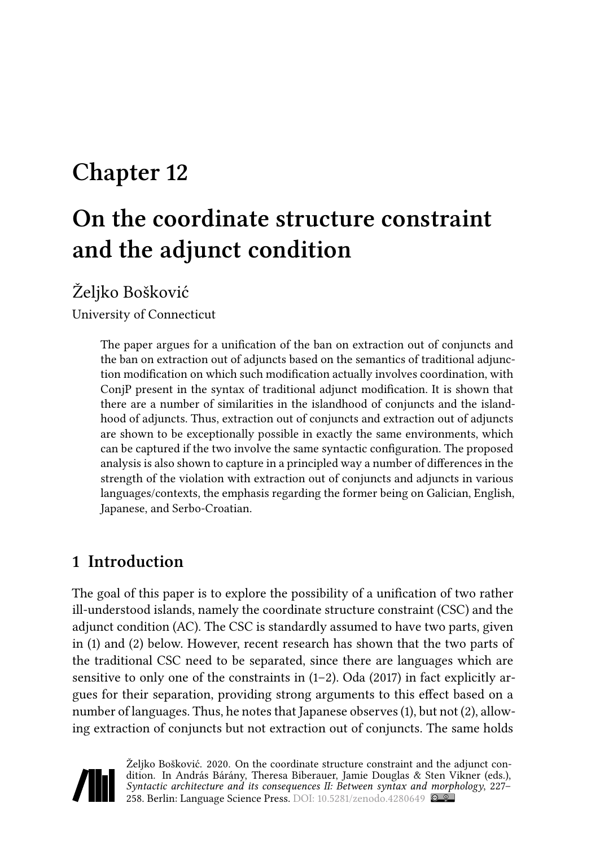# **Chapter 12**

# **On the coordinate structure constraint and the adjunct condition**

# Željko Bošković

University of Connecticut

The paper argues for a unification of the ban on extraction out of conjuncts and the ban on extraction out of adjuncts based on the semantics of traditional adjunction modification on which such modification actually involves coordination, with ConjP present in the syntax of traditional adjunct modification. It is shown that there are a number of similarities in the islandhood of conjuncts and the islandhood of adjuncts. Thus, extraction out of conjuncts and extraction out of adjuncts are shown to be exceptionally possible in exactly the same environments, which can be captured if the two involve the same syntactic configuration. The proposed analysis is also shown to capture in a principled way a number of differences in the strength of the violation with extraction out of conjuncts and adjuncts in various languages/contexts, the emphasis regarding the former being on Galician, English, Japanese, and Serbo-Croatian.

# <span id="page-0-0"></span>**1 Introduction**

The goal of this paper is to explore the possibility of a unification of two rather ill-understood islands, namely the coordinate structure constraint (CSC) and the adjunct condition (AC). The CSC is standardly assumed to have two parts, given in([1](#page-1-0)) and([2](#page-1-1)) below. However, recent research has shown that the two parts of the traditional CSC need to be separated, since there are languages which are sensitiveto only one of the constraints in  $(1-2)$  $(1-2)$ . Oda  $(2017)$  in fact explicitly argues for their separation, providing strong arguments to this effect based on a number of languages. Thus, he notes that Japanese observes [\(1](#page-1-0)), but not [\(2\)](#page-1-1), allowing extraction of conjuncts but not extraction out of conjuncts. The same holds



Željko Bošković. 2020. On the coordinate structure constraint and the adjunct condition. In András Bárány, Theresa Biberauer, Jamie Douglas & Sten Vikner (eds.), *Syntactic architecture and its consequences II: Between syntax and morphology*, 227– 258. Berlin: Language Science Press. DOI: [10.5281/zenodo.4280649](https://doi.org/10.5281/zenodo.4280649)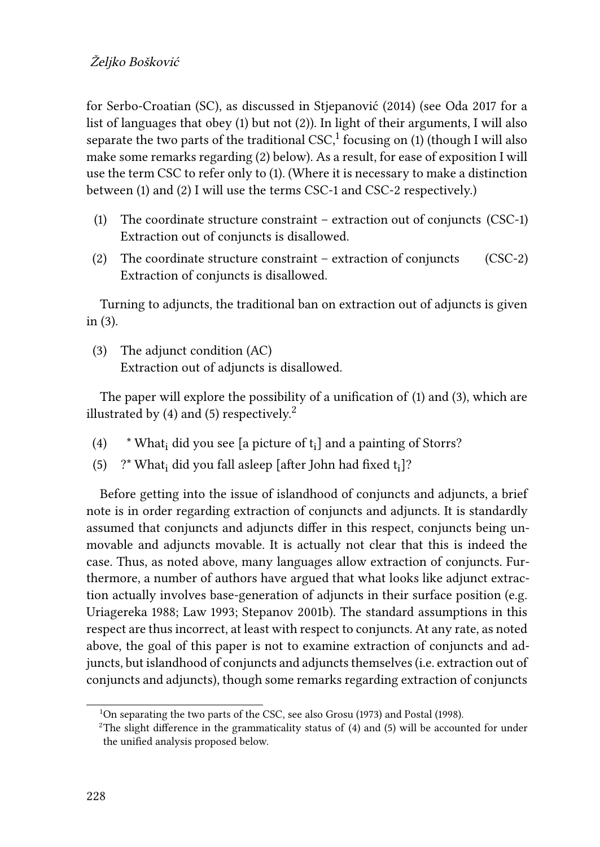for Serbo-Croatian (SC), as discussed in [Stjepanović \(2014\)](#page-30-0) (see [Oda 2017](#page-29-0) for a list of languages that obey [\(1](#page-1-0)) but not([2\)](#page-1-1)). In light of their arguments, I will also separate the two parts of the traditional  $\mathsf{CSC}\xspace_\text{-}^1$  focusing on [\(1](#page-1-0)) (though I will also make some remarks regarding([2\)](#page-1-1) below). As a result, for ease of exposition I will use the term CSC to refer only to([1\)](#page-1-0). (Where it is necessary to make a distinction between [\(1\)](#page-1-0) and [\(2\)](#page-1-1) I will use the terms CSC-1 and CSC-2 respectively.)

- <span id="page-1-0"></span>(1) The coordinate structure constraint – extraction out of conjuncts (CSC-1) Extraction out of conjuncts is disallowed.
- <span id="page-1-1"></span>(2) The coordinate structure constraint – extraction of conjuncts (CSC-2) Extraction of conjuncts is disallowed.

Turning to adjuncts, the traditional ban on extraction out of adjuncts is given in [\(3](#page-1-2)).

<span id="page-1-2"></span>(3) The adjunct condition (AC) Extraction out of adjuncts is disallowed.

The paper will explore the possibility of a unification of [\(1](#page-1-0)) and [\(3\)](#page-1-2), which are illustrated by [\(4\)](#page-1-3)and ([5\)](#page-1-4) respectively.<sup>2</sup>

- <span id="page-1-3"></span>(4)  $*$  What<sub>i</sub> did you see [a picture of  $t_i$ ] and a painting of Storrs?
- <span id="page-1-4"></span>(5) ?\* What<sub>i</sub> did you fall asleep [after John had fixed  $t_i$ ]?

Before getting into the issue of islandhood of conjuncts and adjuncts, a brief note is in order regarding extraction of conjuncts and adjuncts. It is standardly assumed that conjuncts and adjuncts differ in this respect, conjuncts being unmovable and adjuncts movable. It is actually not clear that this is indeed the case. Thus, as noted above, many languages allow extraction of conjuncts. Furthermore, a number of authors have argued that what looks like adjunct extraction actually involves base-generation of adjuncts in their surface position (e.g. [Uriagereka 1988](#page-31-0); [Law 1993;](#page-29-1) [Stepanov 2001b](#page-30-1)). The standard assumptions in this respect are thus incorrect, at least with respect to conjuncts. At any rate, as noted above, the goal of this paper is not to examine extraction of conjuncts and adjuncts, but islandhood of conjuncts and adjuncts themselves (i.e. extraction out of conjuncts and adjuncts), though some remarks regarding extraction of conjuncts

<sup>&</sup>lt;sup>1</sup>On separating the two parts of the CSC, see also [Grosu \(1973\)](#page-28-0) and [Postal \(1998\).](#page-29-2)

<sup>&</sup>lt;sup>2</sup>The slight difference in the grammaticality status of  $(4)$  $(4)$  $(4)$  and  $(5)$  will be accounted for under the unified analysis proposed below.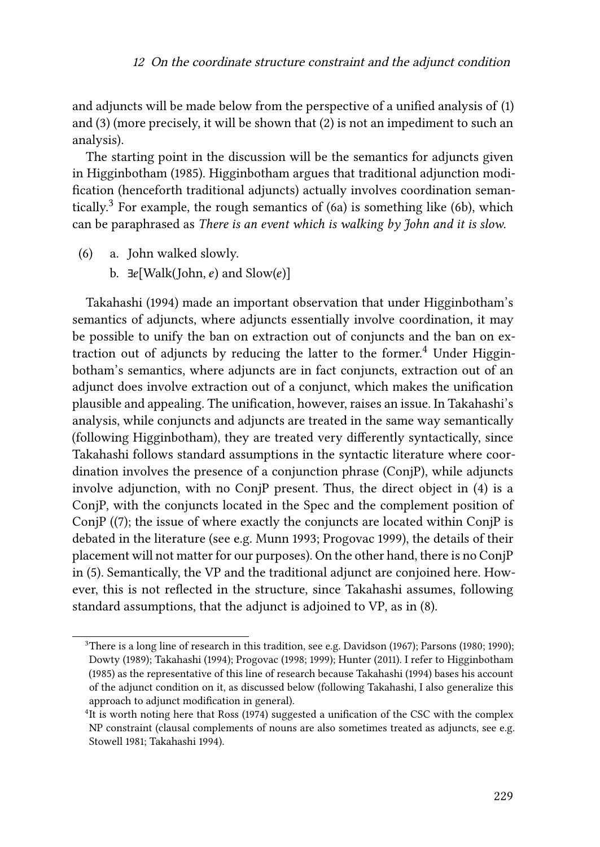and adjuncts will be made below from the perspective of a unified analysis of([1\)](#page-1-0) and [\(3](#page-1-2)) (more precisely, it will be shown that([2](#page-1-1)) is not an impediment to such an analysis).

The starting point in the discussion will be the semantics for adjuncts given in [Higginbotham \(1985\).](#page-28-1) [Higginbotham](#page-28-1) argues that traditional adjunction modification (henceforth traditional adjuncts) actually involves coordination seman-tically.<sup>3</sup>For example, the rough semantics of ([6a](#page-2-0)) is something like ([6b](#page-2-0)), which can be paraphrased as *There is an event which is walking by John and it is slow*.

- <span id="page-2-0"></span>(6) a. John walked slowly.
	- b.  $\exists e$ [Walk(John, e) and Slow(e)]

[Takahashi \(1994\)](#page-30-2) made an important observation that under [Higginbotham](#page-28-1)'s semantics of adjuncts, where adjuncts essentially involve coordination, it may be possible to unify the ban on extraction out of conjuncts and the ban on ex-traction out of adjuncts by reducing the latter to the former.<sup>4</sup> Under [Higgin](#page-28-1)[botham](#page-28-1)'s semantics, where adjuncts are in fact conjuncts, extraction out of an adjunct does involve extraction out of a conjunct, which makes the unification plausible and appealing. The unification, however, raises an issue. In [Takahashi](#page-30-2)'s analysis, while conjuncts and adjuncts are treated in the same way semantically (following [Higginbotham\)](#page-28-1), they are treated very differently syntactically, since [Takahashi](#page-30-2) follows standard assumptions in the syntactic literature where coordination involves the presence of a conjunction phrase (ConjP), while adjuncts involve adjunction, with no ConjP present. Thus, the direct object in([4\)](#page-1-3) is a ConjP, with the conjuncts located in the Spec and the complement position of ConjP (([7\)](#page-3-0); the issue of where exactly the conjuncts are located within ConjP is debated in the literature (see e.g. [Munn 1993](#page-29-3); [Progovac 1999](#page-30-3)), the details of their placement will not matter for our purposes). On the other hand, there is no ConjP in([5\)](#page-1-4). Semantically, the VP and the traditional adjunct are conjoined here. However, this is not reflected in the structure, since Takahashi assumes, following standard assumptions, that the adjunct is adjoined to VP, as in([8](#page-3-1)).

 $3$ There is a long line of research in this tradition, see e.g. [Davidson \(1967](#page-28-2)); [Parsons \(1980;](#page-29-4) [1990](#page-29-5)); [Dowty \(1989](#page-28-3)); [Takahashi \(1994\)](#page-30-2); [Progovac \(1998;](#page-30-4) [1999\)](#page-30-3); [Hunter \(2011](#page-29-6)). I refer to [Higginbotham](#page-28-1) [\(1985\)](#page-28-1) as the representative of this line of research because [Takahashi \(1994\)](#page-30-2) bases his account of the adjunct condition on it, as discussed below (following [Takahashi,](#page-30-2) I also generalize this approach to adjunct modification in general).

<sup>&</sup>lt;sup>4</sup>It is worth noting here that [Ross \(1974\)](#page-30-5) suggested a unification of the CSC with the complex NP constraint (clausal complements of nouns are also sometimes treated as adjuncts, see e.g. [Stowell 1981;](#page-30-6) [Takahashi 1994\)](#page-30-2).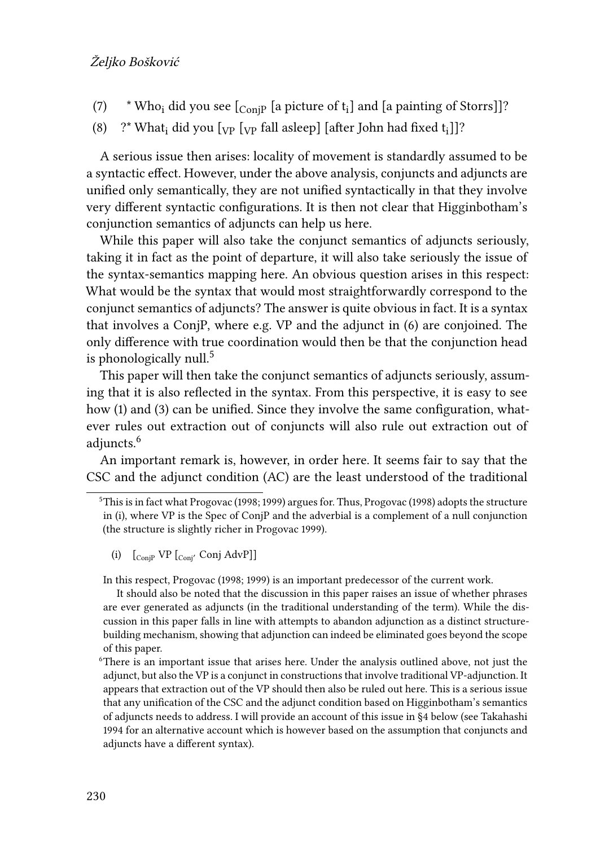- <span id="page-3-0"></span> $\left( 7\right)$   $\quad$  \* Who<sub>i</sub> did you see [ $_{\rm{ConjP}}$  [a picture of t<sub>i</sub>] and [a painting of Storrs]]?
- <span id="page-3-1"></span>(8)  $\degree$  ?\* What<sub>i</sub> did you [<sub>VP</sub> [<sub>VP</sub> fall asleep] [after John had fixed t<sub>i</sub>]]?

A serious issue then arises: locality of movement is standardly assumed to be a syntactic effect. However, under the above analysis, conjuncts and adjuncts are unified only semantically, they are not unified syntactically in that they involve very different syntactic configurations. It is then not clear that [Higginbotham'](#page-28-1)s conjunction semantics of adjuncts can help us here.

While this paper will also take the conjunct semantics of adjuncts seriously, taking it in fact as the point of departure, it will also take seriously the issue of the syntax-semantics mapping here. An obvious question arises in this respect: What would be the syntax that would most straightforwardly correspond to the conjunct semantics of adjuncts? The answer is quite obvious in fact. It is a syntax that involves a ConjP, where e.g. VP and the adjunct in([6\)](#page-2-0) are conjoined. The only difference with true coordination would then be that the conjunction head is phonologically null. $5$ 

This paper will then take the conjunct semantics of adjuncts seriously, assuming that it is also reflected in the syntax. From this perspective, it is easy to see how([1\)](#page-1-0) and [\(3\)](#page-1-2) can be unified. Since they involve the same configuration, whatever rules out extraction out of conjuncts will also rule out extraction out of adjuncts.<sup>6</sup>

An important remark is, however, in order here. It seems fair to say that the CSC and the adjunct condition (AC) are the least understood of the traditional

In this respect, [Progovac \(1998;](#page-30-4) [1999](#page-30-3)) is an important predecessor of the current work.

It should also be noted that the discussion in this paper raises an issue of whether phrases are ever generated as adjuncts (in the traditional understanding of the term). While the discussion in this paper falls in line with attempts to abandon adjunction as a distinct structurebuilding mechanism, showing that adjunction can indeed be eliminated goes beyond the scope of this paper.

<sup>5</sup>This is in fact what [Progovac \(1998;](#page-30-4) [1999\)](#page-30-3) argues for. Thus, [Progovac \(1998\)](#page-30-4) adopts the structure in (i), where VP is the Spec of ConjP and the adverbial is a complement of a null conjunction (the structure is slightly richer in [Progovac 1999](#page-30-3)).

<sup>(</sup>i)  $\left[\begin{matrix} \text{ConiP} & \text{VP} & \text{Coni} & \text{Conj} & \text{AdvP} \end{matrix}\right]$ 

<sup>6</sup>There is an important issue that arises here. Under the analysis outlined above, not just the adjunct, but also the VP is a conjunct in constructions that involve traditional VP-adjunction. It appears that extraction out of the VP should then also be ruled out here. This is a serious issue that any unification of the CSC and the adjunct condition based on [Higginbotham'](#page-28-1)s semantics of adjuncts needs to address. I will provide an account of this issue in§[4](#page-10-0) below (see [Takahashi](#page-30-2) [1994](#page-30-2) for an alternative account which is however based on the assumption that conjuncts and adjuncts have a different syntax).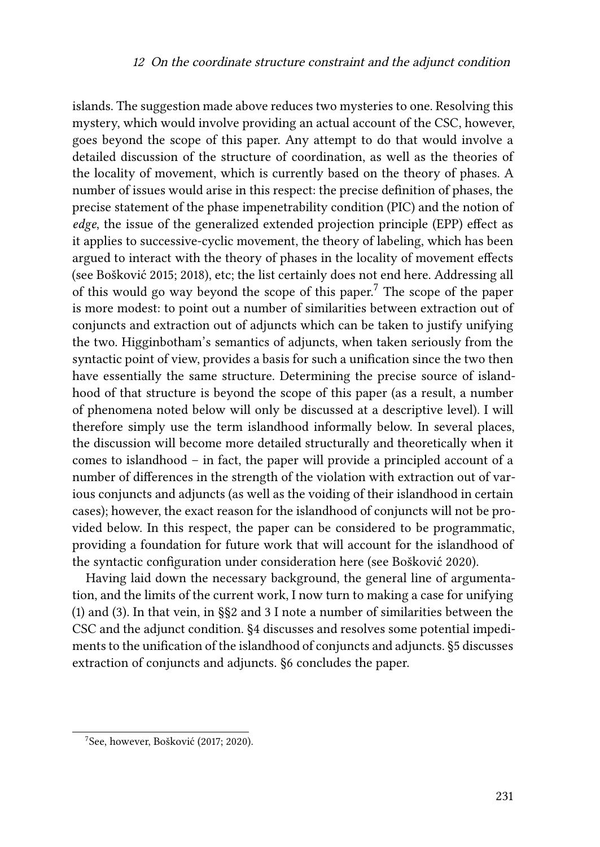islands. The suggestion made above reduces two mysteries to one. Resolving this mystery, which would involve providing an actual account of the CSC, however, goes beyond the scope of this paper. Any attempt to do that would involve a detailed discussion of the structure of coordination, as well as the theories of the locality of movement, which is currently based on the theory of phases. A number of issues would arise in this respect: the precise definition of phases, the precise statement of the phase impenetrability condition (PIC) and the notion of *edge*, the issue of the generalized extended projection principle (EPP) effect as it applies to successive-cyclic movement, the theory of labeling, which has been argued to interact with the theory of phases in the locality of movement effects (see [Bošković 2015;](#page-27-0) [2018](#page-27-1)), etc; the list certainly does not end here. Addressing all of this would go way beyond the scope of this paper.<sup>7</sup> The scope of the paper is more modest: to point out a number of similarities between extraction out of conjuncts and extraction out of adjuncts which can be taken to justify unifying the two. [Higginbotham](#page-28-1)'s semantics of adjuncts, when taken seriously from the syntactic point of view, provides a basis for such a unification since the two then have essentially the same structure. Determining the precise source of islandhood of that structure is beyond the scope of this paper (as a result, a number of phenomena noted below will only be discussed at a descriptive level). I will therefore simply use the term islandhood informally below. In several places, the discussion will become more detailed structurally and theoretically when it comes to islandhood – in fact, the paper will provide a principled account of a number of differences in the strength of the violation with extraction out of various conjuncts and adjuncts (as well as the voiding of their islandhood in certain cases); however, the exact reason for the islandhood of conjuncts will not be provided below. In this respect, the paper can be considered to be programmatic, providing a foundation for future work that will account for the islandhood of the syntactic configuration under consideration here (see [Bošković 2020](#page-27-2)).

Having laid down the necessary background, the general line of argumentation, and the limits of the current work, I now turn to making a case for unifying [\(1\)](#page-1-0) and [\(3](#page-1-2)). In that vein, in §§[2](#page-5-0) and [3](#page-5-1) I note a number of similarities between the CSC and the adjunct condition. §[4](#page-10-0) discusses and resolves some potential impediments to the unification of the islandhood of conjuncts and adjuncts. §[5](#page-20-0) discusses extraction of conjuncts and adjuncts. [§6](#page-24-0) concludes the paper.

<sup>7</sup> See, however, [Bošković \(2017](#page-27-3); [2020\)](#page-27-2).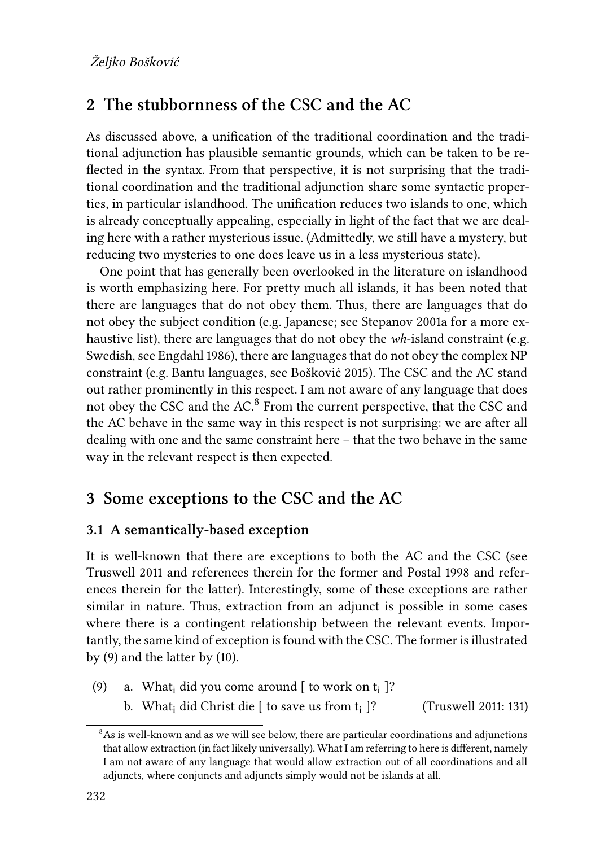## <span id="page-5-0"></span>**2 The stubbornness of the CSC and the AC**

As discussed above, a unification of the traditional coordination and the traditional adjunction has plausible semantic grounds, which can be taken to be reflected in the syntax. From that perspective, it is not surprising that the traditional coordination and the traditional adjunction share some syntactic properties, in particular islandhood. The unification reduces two islands to one, which is already conceptually appealing, especially in light of the fact that we are dealing here with a rather mysterious issue. (Admittedly, we still have a mystery, but reducing two mysteries to one does leave us in a less mysterious state).

One point that has generally been overlooked in the literature on islandhood is worth emphasizing here. For pretty much all islands, it has been noted that there are languages that do not obey them. Thus, there are languages that do not obey the subject condition (e.g. Japanese; see [Stepanov 2001a](#page-30-7) for a more exhaustive list), there are languages that do not obey the *wh*-island constraint (e.g. Swedish, see [Engdahl 1986](#page-28-4)), there are languages that do not obey the complex NP constraint (e.g. Bantu languages, see [Bošković 2015](#page-27-0)). The CSC and the AC stand out rather prominently in this respect. I am not aware of any language that does not obey the CSC and the AC.<sup>8</sup> From the current perspective, that the CSC and the AC behave in the same way in this respect is not surprising: we are after all dealing with one and the same constraint here – that the two behave in the same way in the relevant respect is then expected.

### <span id="page-5-1"></span>**3 Some exceptions to the CSC and the AC**

### **3.1 A semantically-based exception**

It is well-known that there are exceptions to both the AC and the CSC (see [Truswell 2011](#page-31-1) and references therein for the former and [Postal 1998](#page-29-2) and references therein for the latter). Interestingly, some of these exceptions are rather similar in nature. Thus, extraction from an adjunct is possible in some cases where there is a contingent relationship between the relevant events. Importantly, the same kind of exception is found with the CSC. The former is illustrated by [\(9\)](#page-5-2) and the latter by [\(10](#page-6-0)).

- <span id="page-5-2"></span>(9) a. What $_{i}$  did you come around [ to work on  $t_{i}$  ]?
	- b. What<sub>i</sub> did Christ die [ to save us from  $t_i$  ]? ]? ([Truswell 2011:](#page-31-1) 131)

<sup>&</sup>lt;sup>8</sup>As is well-known and as we will see below, there are particular coordinations and adjunctions that allow extraction (in fact likely universally). What I am referring to here is different, namely I am not aware of any language that would allow extraction out of all coordinations and all adjuncts, where conjuncts and adjuncts simply would not be islands at all.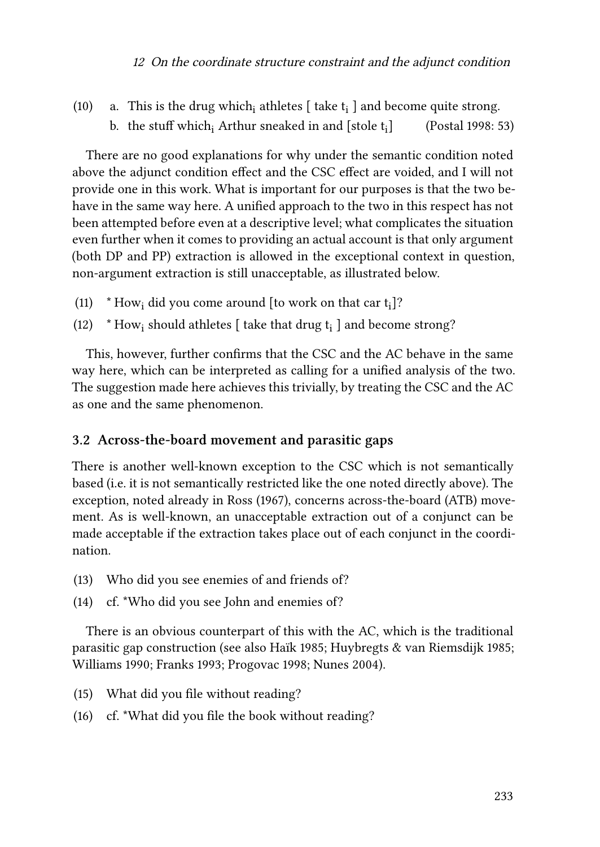#### <sup>12</sup> On the coordinate structure constraint and the adjunct condition

<span id="page-6-0"></span>(10) – a. This is the drug which $_{\rm i}$  athletes [ take  ${\rm t}_{\rm i}$  ] and become quite strong. b. the stuff which and  $[$ stole t<sub>i</sub> $]$ ] [\(Postal 1998:](#page-29-2) 53)

There are no good explanations for why under the semantic condition noted above the adjunct condition effect and the CSC effect are voided, and I will not provide one in this work. What is important for our purposes is that the two behave in the same way here. A unified approach to the two in this respect has not been attempted before even at a descriptive level; what complicates the situation even further when it comes to providing an actual account is that only argument (both DP and PP) extraction is allowed in the exceptional context in question, non-argument extraction is still unacceptable, as illustrated below.

- (11)  $*$  How<sub>i</sub> did you come around [to work on that car  $t_i$ ]?
- (12)  $\ast$  How<sub>i</sub> should athletes [ take that drug  $t_i$  ] and become strong?

This, however, further confirms that the CSC and the AC behave in the same way here, which can be interpreted as calling for a unified analysis of the two. The suggestion made here achieves this trivially, by treating the CSC and the AC as one and the same phenomenon.

### **3.2 Across-the-board movement and parasitic gaps**

There is another well-known exception to the CSC which is not semantically based (i.e. it is not semantically restricted like the one noted directly above). The exception, noted already in [Ross \(1967\),](#page-30-8) concerns across-the-board (ATB) movement. As is well-known, an unacceptable extraction out of a conjunct can be made acceptable if the extraction takes place out of each conjunct in the coordination.

- <span id="page-6-3"></span>(13) Who did you see enemies of and friends of?
- <span id="page-6-4"></span>(14) cf. \*Who did you see John and enemies of?

There is an obvious counterpart of this with the AC, which is the traditional parasitic gap construction (see also [Haı̈k 1985](#page-28-5); [Huybregts & van Riemsdijk 1985;](#page-29-7) [Williams 1990](#page-31-2); [Franks 1993;](#page-28-6) [Progovac 1998;](#page-30-4) [Nunes 2004](#page-29-8)).

- <span id="page-6-1"></span>(15) What did you file without reading?
- <span id="page-6-2"></span>(16) cf. \*What did you file the book without reading?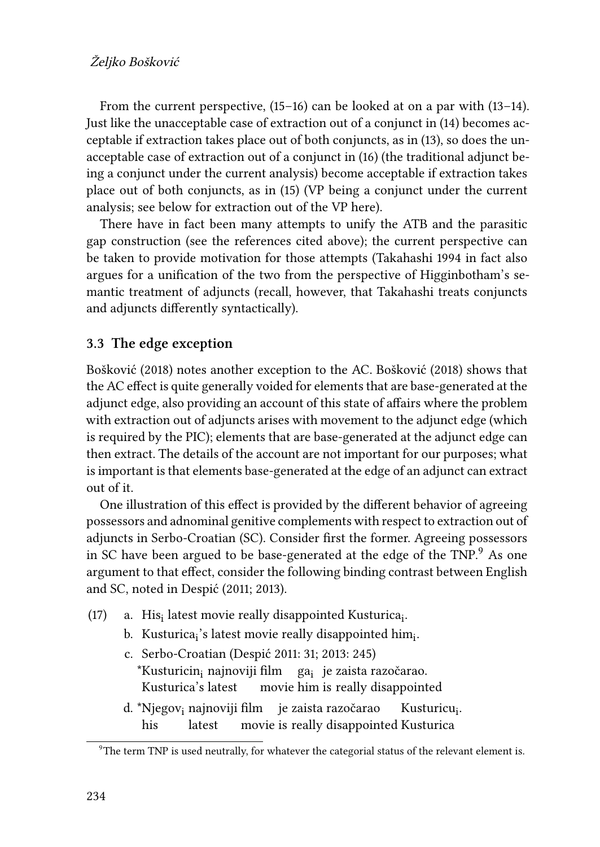From the current perspective, [\(15–](#page-6-1)[16](#page-6-2)) can be looked at on a par with([13–](#page-6-3)[14\)](#page-6-4). Just like the unacceptable case of extraction out of a conjunct in([14\)](#page-6-4) becomes acceptable if extraction takes place out of both conjuncts, as in([13\)](#page-6-3), so does the unacceptable case of extraction out of a conjunct in([16\)](#page-6-2) (the traditional adjunct being a conjunct under the current analysis) become acceptable if extraction takes place out of both conjuncts, as in([15](#page-6-1)) (VP being a conjunct under the current analysis; see below for extraction out of the VP here).

There have in fact been many attempts to unify the ATB and the parasitic gap construction (see the references cited above); the current perspective can be taken to provide motivation for those attempts [\(Takahashi 1994](#page-30-2) in fact also argues for a unification of the two from the perspective of [Higginbotham](#page-28-1)'s semantic treatment of adjuncts (recall, however, that [Takahashi](#page-30-2) treats conjuncts and adjuncts differently syntactically).

### **3.3 The edge exception**

[Bošković \(2018\)](#page-27-1) notes another exception to the AC. [Bošković \(2018\)](#page-27-1) shows that the AC effect is quite generally voided for elements that are base-generated at the adjunct edge, also providing an account of this state of affairs where the problem with extraction out of adjuncts arises with movement to the adjunct edge (which is required by the PIC); elements that are base-generated at the adjunct edge can then extract. The details of the account are not important for our purposes; what is important is that elements base-generated at the edge of an adjunct can extract out of it.

One illustration of this effect is provided by the different behavior of agreeing possessors and adnominal genitive complements with respect to extraction out of adjuncts in Serbo-Croatian (SC). Consider first the former. Agreeing possessors in SC have been argued to be base-generated at the edge of the TNP. $9$  As one argument to that effect, consider the following binding contrast between English and SC, noted in [Despić \(2011](#page-28-7); [2013](#page-28-8)).

- <span id="page-7-0"></span>(17) a. His<sub>i</sub> latest movie really disappointed Kusturica<sub>i</sub>.
	- b. Kusturica<sub>i</sub>'s latest movie really disappointed him<sub>i</sub>.
	- c. Serbo-Croatian([Despić 2011:](#page-28-7) 31; [2013](#page-28-8): 245)  $^*$ Kusturicin $_1$  najnoviji film Kusturica's latest movie him is really disappointed ga<sub>i</sub> je zaista razočarao.
	- d. \*Njegov<sub>i</sub> najnoviji film ∣ je zaista razočarao his latest movie is really disappointed Kusturica Kusturicu<sub>i</sub>.

 $9$ The term TNP is used neutrally, for whatever the categorial status of the relevant element is.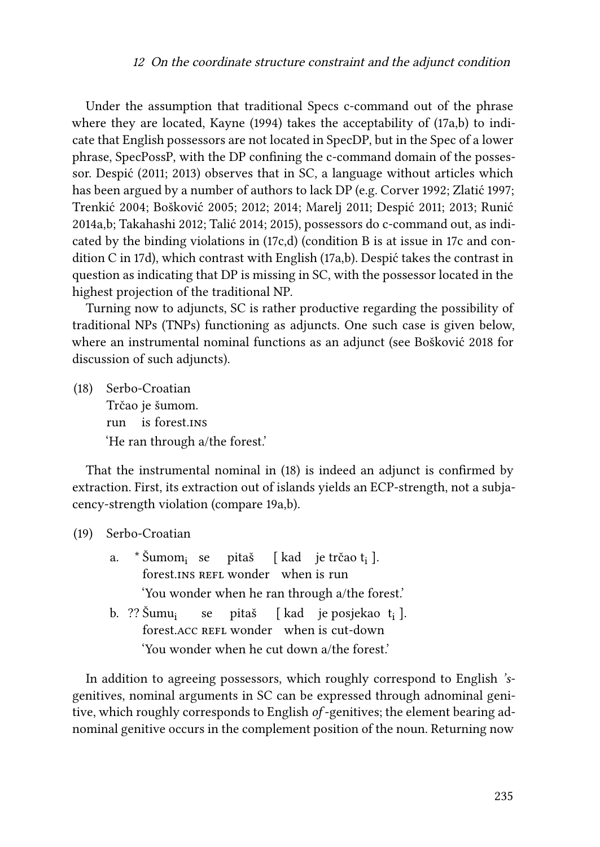Under the assumption that traditional Specs c-command out of the phrase where they are located, [Kayne \(1994\)](#page-29-9)takes the acceptability of ([17a](#page-7-0),b) to indicate that English possessors are not located in SpecDP, but in the Spec of a lower phrase, SpecPossP, with the DP confining the c-command domain of the possessor. [Despić \(2011](#page-28-7); [2013\)](#page-28-8) observes that in SC, a language without articles which has been argued by a number of authors to lack DP (e.g. [Corver 1992;](#page-28-9) [Zlatić 1997;](#page-31-3) [Trenkić 2004](#page-31-4); [Bošković 2005;](#page-27-4) [2012;](#page-27-5) [2014;](#page-27-6) [Marelj 2011;](#page-29-10) [Despić 2011;](#page-28-7) [2013;](#page-28-8) [Runić](#page-30-9) [2014a](#page-30-9)[,b;](#page-30-10) [Takahashi 2012](#page-30-11); [Talić 2014;](#page-31-5) [2015](#page-31-6)), possessors do c-command out, as indicated by the binding violations in([17c](#page-7-0),d) (condition B is at issue in [17](#page-7-0)c and condition C in [17](#page-7-0)d), which contrast with English([17](#page-7-0)a,b). Despić takes the contrast in question as indicating that DP is missing in SC, with the possessor located in the highest projection of the traditional NP.

Turning now to adjuncts, SC is rather productive regarding the possibility of traditional NPs (TNPs) functioning as adjuncts. One such case is given below, where an instrumental nominal functions as an adjunct (see [Bošković 2018](#page-27-1) for discussion of such adjuncts).

<span id="page-8-0"></span>(18) Serbo-Croatian Trčao je šumom. run is forest.ins 'He ran through a/the forest.'

That the instrumental nominal in [\(18](#page-8-0)) is indeed an adjunct is confirmed by extraction. First, its extraction out of islands yields an ECP-strength, not a subjacency-strength violation (compare [19a](#page-8-1),b).

<span id="page-8-1"></span>(19) Serbo-Croatian

|                                          | a. * Šumom <sub>i</sub> se pitaš [kad je trčao t <sub>i</sub> ].    |  |  |  |  |  |  |
|------------------------------------------|---------------------------------------------------------------------|--|--|--|--|--|--|
|                                          | forest.INS REFL wonder when is run                                  |  |  |  |  |  |  |
|                                          | 'You wonder when he ran through a/the forest.'                      |  |  |  |  |  |  |
|                                          | b. ?? Šumu <sub>i</sub> se pitaš [kad je posjekao t <sub>i</sub> ]. |  |  |  |  |  |  |
| forest. ACC REFL wonder when is cut-down |                                                                     |  |  |  |  |  |  |
|                                          | 'You wonder when he cut down a/the forest.'                         |  |  |  |  |  |  |

In addition to agreeing possessors, which roughly correspond to English *'s*genitives, nominal arguments in SC can be expressed through adnominal genitive, which roughly corresponds to English *of* -genitives; the element bearing adnominal genitive occurs in the complement position of the noun. Returning now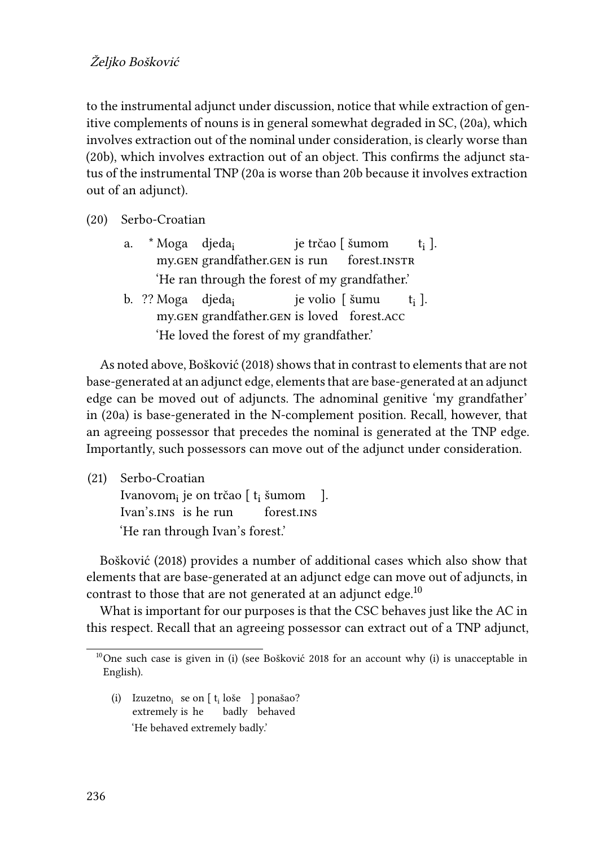### Željko Bošković

to the instrumental adjunct under discussion, notice that while extraction of genitive complements of nouns is in general somewhat degraded in SC,([20](#page-9-0)a), which involves extraction out of the nominal under consideration, is clearly worse than [\(20b](#page-9-0)), which involves extraction out of an object. This confirms the adjunct status of the instrumental TNP [\(20a](#page-9-0) is worse than [20](#page-9-0)b because it involves extraction out of an adjunct).

<span id="page-9-0"></span>

| (20) | Serbo-Croatian |
|------|----------------|
|------|----------------|

- a. \*Moga djeda<sub>i</sub> my.gen grandfather.gen is run je trčao [ šumom forest.INSTR ti ]. 'He ran through the forest of my grandfather.'
- b. ?? Moga djeda<sub>i</sub> my.gen grandfather.gen is loved forest.acc je volio [ šumu ti ]. 'He loved the forest of my grandfather.'

As noted above, [Bošković \(2018\)](#page-27-1) shows that in contrast to elements that are not base-generated at an adjunct edge, elements that are base-generated at an adjunct edge can be moved out of adjuncts. The adnominal genitive 'my grandfather' in([20a](#page-9-0)) is base-generated in the N-complement position. Recall, however, that an agreeing possessor that precedes the nominal is generated at the TNP edge. Importantly, such possessors can move out of the adjunct under consideration.

(21) Serbo-Croatian Ivanovom<sub>i</sub> je on trčao [ t<sub>i</sub> šumom ]. Ivan's.ins is he run forest.ins 'He ran through Ivan's forest.'

[Bošković \(2018\)](#page-27-1) provides a number of additional cases which also show that elements that are base-generated at an adjunct edge can move out of adjuncts, in contrast to those that are not generated at an adjunct edge. $10$ 

What is important for our purposes is that the CSC behaves just like the AC in this respect. Recall that an agreeing possessor can extract out of a TNP adjunct,

(i) Izuzetno $_{\rm i}$  se on  $[$  t<sub>i</sub> loše  $\,$  ] ponašao? extremely is he badly behaved 'He behaved extremely badly.'

<sup>&</sup>lt;sup>10</sup>One such case is given in (i) (see [Bošković 2018](#page-27-1) for an account why (i) is unacceptable in English).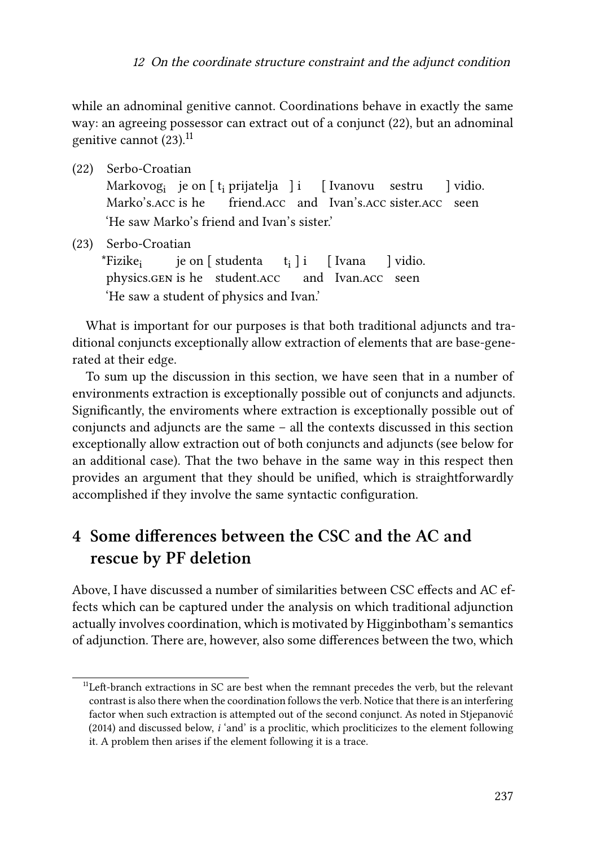while an adnominal genitive cannot. Coordinations behave in exactly the same way: an agreeing possessor can extract out of a conjunct [\(22\)](#page-10-1), but an adnominal genitive cannot  $(23)$ .<sup>11</sup>

- <span id="page-10-1"></span>(22) Serbo-Croatian Markovog<sub>i</sub> je on [ t<sub>i</sub> prijatelja ] i [ Ivanovu sestru Marko's.acc is he friend.acc and Ivan's.acc sister.acc seen ] vidio. 'He saw Marko's friend and Ivan's sister.'
- <span id="page-10-2"></span>(23) Serbo-Croatian \*Fizike<sup>i</sup> physics.gen is he student.acc je on [ studenta ti ] i [ Ivana and Ivan.acc seen ] vidio. 'He saw a student of physics and Ivan.'

What is important for our purposes is that both traditional adjuncts and traditional conjuncts exceptionally allow extraction of elements that are base-generated at their edge.

To sum up the discussion in this section, we have seen that in a number of environments extraction is exceptionally possible out of conjuncts and adjuncts. Significantly, the enviroments where extraction is exceptionally possible out of conjuncts and adjuncts are the same – all the contexts discussed in this section exceptionally allow extraction out of both conjuncts and adjuncts (see below for an additional case). That the two behave in the same way in this respect then provides an argument that they should be unified, which is straightforwardly accomplished if they involve the same syntactic configuration.

# <span id="page-10-0"></span>**4 Some differences between the CSC and the AC and rescue by PF deletion**

Above, I have discussed a number of similarities between CSC effects and AC effects which can be captured under the analysis on which traditional adjunction actually involves coordination, which is motivated by Higginbotham's semantics of adjunction. There are, however, also some differences between the two, which

<sup>&</sup>lt;sup>11</sup>Left-branch extractions in SC are best when the remnant precedes the verb, but the relevant contrast is also there when the coordination follows the verb. Notice that there is an interfering factor when such extraction is attempted out of the second conjunct. As noted in [Stjepanović](#page-30-0) [\(2014\)](#page-30-0) and discussed below, *i* 'and' is a proclitic, which procliticizes to the element following it. A problem then arises if the element following it is a trace.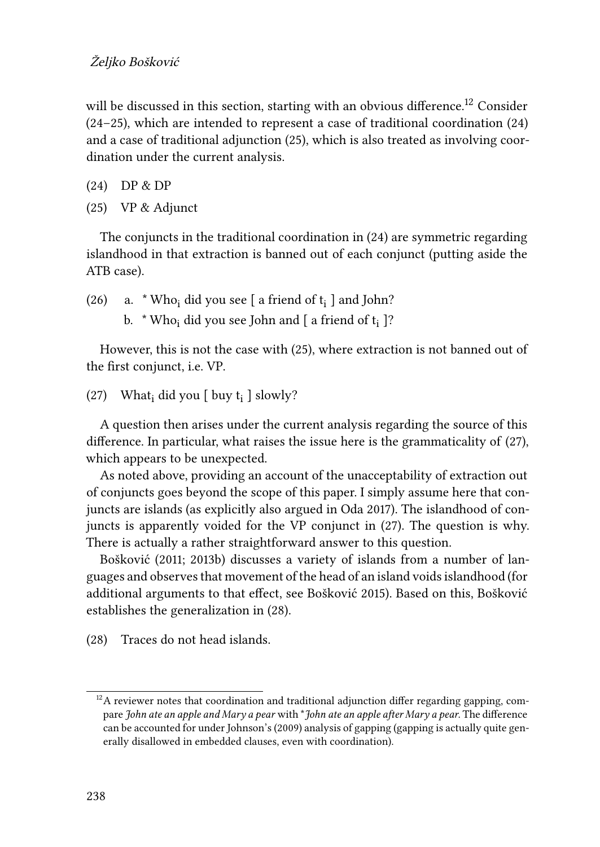will be discussed in this section, starting with an obvious difference.<sup>12</sup> Consider [\(24–](#page-11-0)[25](#page-11-1)), which are intended to represent a case of traditional coordination([24](#page-11-0)) and a case of traditional adjunction [\(25](#page-11-1)), which is also treated as involving coordination under the current analysis.

- <span id="page-11-0"></span>(24) DP & DP
- <span id="page-11-1"></span>(25) VP & Adjunct

The conjuncts in the traditional coordination in [\(24\)](#page-11-0) are symmetric regarding islandhood in that extraction is banned out of each conjunct (putting aside the ATB case).

<span id="page-11-4"></span>(26) a.  $*$  Who<sub>i</sub> did you see [ a friend of  $t_i$  ] and John? b.  $*$  Who<sub>i</sub> did you see John and [ a friend of  $t_i$  ]?

However, this is not the case with [\(25](#page-11-1)), where extraction is not banned out of the first conjunct, i.e. VP.

<span id="page-11-2"></span>(27) What $_{i}$  did you [ buy t<sub>i</sub> ] slowly?

A question then arises under the current analysis regarding the source of this difference. In particular, what raises the issue here is the grammaticality of [\(27](#page-11-2)), which appears to be unexpected.

As noted above, providing an account of the unacceptability of extraction out of conjuncts goes beyond the scope of this paper. I simply assume here that conjuncts are islands (as explicitly also argued in [Oda 2017](#page-29-0)). The islandhood of conjuncts is apparently voided for the VP conjunct in [\(27](#page-11-2)). The question is why. There is actually a rather straightforward answer to this question.

[Bošković \(2011](#page-27-7); [2013b\)](#page-27-8) discusses a variety of islands from a number of languages and observes that movement of the head of an island voids islandhood (for additional arguments to that effect, see [Bošković 2015\)](#page-27-0). Based on this, [Bošković](#page-27-0) establishes the generalization in [\(28](#page-11-3)).

<span id="page-11-3"></span>(28) Traces do not head islands.

 $12A$  reviewer notes that coordination and traditional adjunction differ regarding gapping, compare *John ate an apple and Mary a pear* with \**John ate an apple after Mary a pear*. The difference can be accounted for under [Johnson](#page-29-11)'s (2009) analysis of gapping (gapping is actually quite generally disallowed in embedded clauses, even with coordination).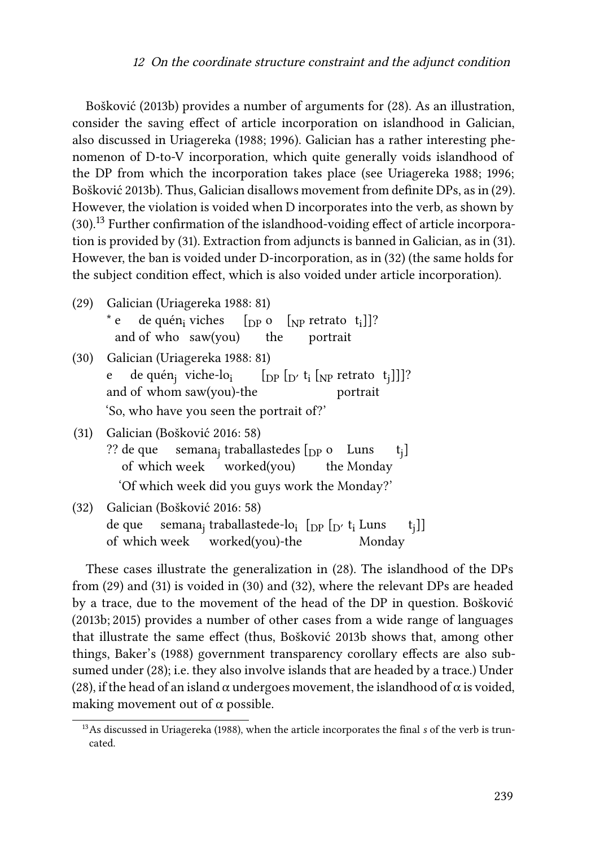[Bošković \(2013b\)](#page-27-8) provides a number of arguments for([28](#page-11-3)). As an illustration, consider the saving effect of article incorporation on islandhood in Galician, also discussed in [Uriagereka \(1988](#page-31-0); [1996\)](#page-31-7). Galician has a rather interesting phenomenon of D-to-V incorporation, which quite generally voids islandhood of the DP from which the incorporation takes place (see [Uriagereka 1988](#page-31-0); [1996;](#page-31-7) [Bošković 2013b](#page-27-8)). Thus, Galician disallows movement from definite DPs, as in [\(29](#page-12-0)). However, the violation is voided when D incorporates into the verb, as shown by [\(30](#page-12-1)).<sup>13</sup> Further confirmation of the islandhood-voiding effect of article incorporation is provided by [\(31](#page-12-2)). Extraction from adjuncts is banned in Galician, as in [\(31](#page-12-2)). However, the ban is voided under D-incorporation, as in [\(32\)](#page-12-3) (the same holds for the subject condition effect, which is also voided under article incorporation).

<span id="page-12-0"></span>(29) Galician([Uriagereka 1988:](#page-31-0) 81) \* e and of who saw(you) de quén<sub>i</sub> viches  $\begin{bmatrix} \n\text{D} \text{P} \text{O} \n\end{bmatrix}$   $\begin{bmatrix} \text{NP} \text{r} \text{C} \text{C} \text{C} \n\end{bmatrix}$ the portrait

<span id="page-12-1"></span>(30) Galician([Uriagereka 1988:](#page-31-0) 81) e and of whom saw(you)-the de quén<sub>j</sub> viche-lo<sub>i</sub>  $\left[ \text{DP} \left[ \text{D}' \text{ t}_i \left[ \text{NP} \text{retrato} \text{ t}_j \right] \right] \right]$ ? portrait 'So, who have you seen the portrait of?'

<span id="page-12-2"></span>(31) Galician [\(Bošković 2016:](#page-27-9) 58) ?? de que of which week semana<sub>j</sub> traballastedes [<sub>DP</sub> oµ Luns worked(you) the Monday tj ] 'Of which week did you guys work the Monday?'

<span id="page-12-3"></span>(32) Galician([Bošković 2016](#page-27-9): 58) de que of which week semana<sub>j</sub> traballastede-lo<sub>i</sub> [<sub>DP</sub> [<sub>D'</sub> t<sub>i</sub> Luns worked(you)-the Monday  $t_j$ ]]

These cases illustrate the generalization in [\(28\)](#page-11-3). The islandhood of the DPs from([29](#page-12-0)) and([31\)](#page-12-2) is voided in [\(30](#page-12-1)) and [\(32\)](#page-12-3), where the relevant DPs are headed by a trace, due to the movement of the head of the DP in question. [Bošković](#page-27-8) [\(2013b;](#page-27-8) [2015\)](#page-27-0) provides a number of other cases from a wide range of languages that illustrate the same effect (thus, [Bošković 2013b](#page-27-8) shows that, among other things, [Baker](#page-26-0)'s (1988) government transparency corollary effects are also subsumed under [\(28\)](#page-11-3); i.e. they also involve islands that are headed by a trace.) Under [\(28](#page-11-3)), if the head of an island  $\alpha$  undergoes movement, the islandhood of  $\alpha$  is voided, making movement out of  $\alpha$  possible.

<sup>&</sup>lt;sup>13</sup>As discussed in [Uriagereka \(1988\)](#page-31-0), when the article incorporates the final *s* of the verb is truncated.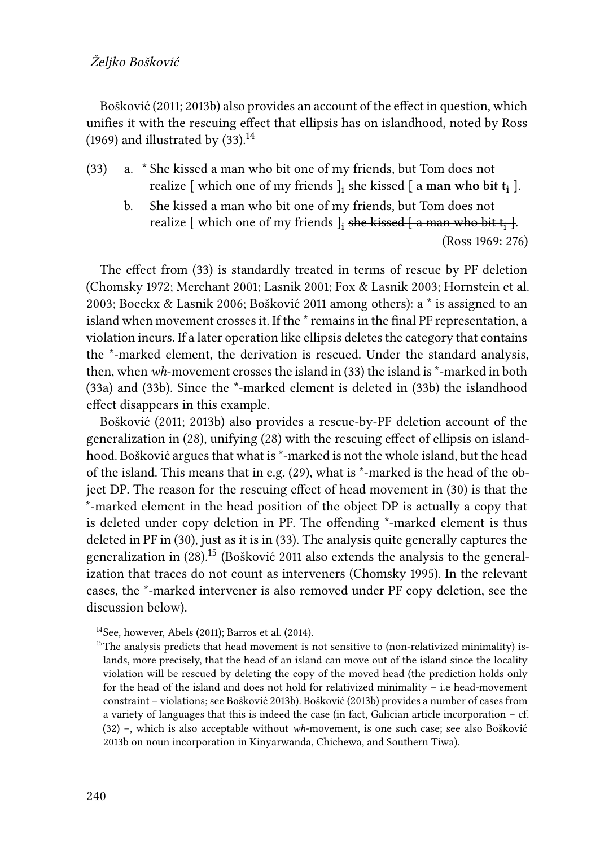#### Željko Bošković

[Bošković \(2011](#page-27-7); [2013b\)](#page-27-8) also provides an account of the effect in question, which unifies it with the rescuing effect that ellipsis has on islandhood, noted by [Ross](#page-30-12) [\(1969\)](#page-30-12)and illustrated by  $(33)$  $(33)$ .<sup>14</sup>

- <span id="page-13-0"></span>(33) a. \* She kissed a man who bit one of my friends, but Tom does not realize [ which one of my friends ]<sub>i</sub> she kissed [ **a man who bit t**<sub>i</sub> ].
	- b. She kissed a man who bit one of my friends, but Tom does not realize [ which one of my friends  $]_i$  <del>she kissed [ a man who bit t $_i$  ]</del>. ([Ross 1969](#page-30-12): 276)

The effect from([33](#page-13-0)) is standardly treated in terms of rescue by PF deletion [\(Chomsky 1972;](#page-27-10) [Merchant 2001](#page-29-12); [Lasnik 2001](#page-29-13); [Fox & Lasnik 2003;](#page-28-10) [Hornstein et al.](#page-29-14) [2003](#page-29-14); [Boeckx & Lasnik 2006](#page-27-11); [Bošković 2011](#page-27-7) among others): a \* is assigned to an island when movement crosses it. If the \* remains in the final PF representation, a violation incurs. If a later operation like ellipsis deletes the category that contains the \*-marked element, the derivation is rescued. Under the standard analysis, then, when *wh*-movement crosses the island in([33\)](#page-13-0) the island is \*-marked in both [\(33a](#page-13-0)) and([33b](#page-13-0)). Since the \*-marked element is deleted in [\(33b](#page-13-0)) the islandhood effect disappears in this example.

[Bošković \(2011](#page-27-7); [2013b](#page-27-8)) also provides a rescue-by-PF deletion account of the generalization in [\(28\)](#page-11-3), unifying([28](#page-11-3)) with the rescuing effect of ellipsis on islandhood. [Bošković](#page-27-7) argues that what is \*-marked is not the whole island, but the head of the island. This means that in e.g. [\(29](#page-12-0)), what is \*-marked is the head of the object DP. The reason for the rescuing effect of head movement in [\(30\)](#page-12-1) is that the \*-marked element in the head position of the object DP is actually a copy that is deleted under copy deletion in PF. The offending \*-marked element is thus deleted in PF in [\(30\)](#page-12-1), just as it is in([33\)](#page-13-0). The analysis quite generally captures the generalization in [\(28](#page-11-3)).<sup>15</sup> ([Bošković 2011](#page-27-7) also extends the analysis to the generalization that traces do not count as interveners([Chomsky 1995\)](#page-28-11). In the relevant cases, the \*-marked intervener is also removed under PF copy deletion, see the discussion below).

<sup>14</sup>See, however, [Abels \(2011](#page-26-1)); [Barros et al. \(2014](#page-26-2)).

<sup>&</sup>lt;sup>15</sup>The analysis predicts that head movement is not sensitive to (non-relativized minimality) islands, more precisely, that the head of an island can move out of the island since the locality violation will be rescued by deleting the copy of the moved head (the prediction holds only for the head of the island and does not hold for relativized minimality – i.e head-movement constraint – violations; see [Bošković 2013b](#page-27-8)). [Bošković \(2013b\)](#page-27-8) provides a number of cases from a variety of languages that this is indeed the case (in fact, Galician article incorporation – cf. [\(32\)](#page-12-3) –, which is also acceptable without *wh*-movement, is one such case; see also [Bošković](#page-27-8) [2013b](#page-27-8) on noun incorporation in Kinyarwanda, Chichewa, and Southern Tiwa).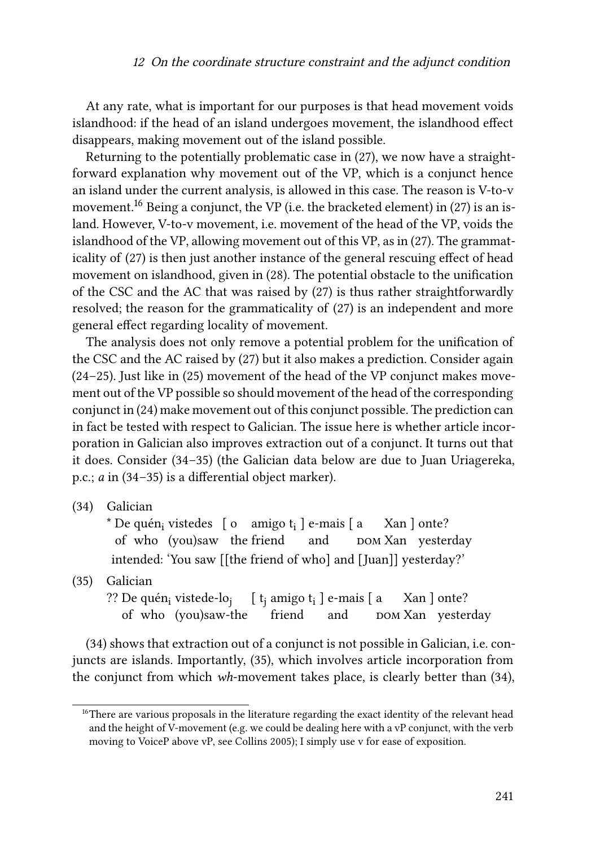#### <sup>12</sup> On the coordinate structure constraint and the adjunct condition

At any rate, what is important for our purposes is that head movement voids islandhood: if the head of an island undergoes movement, the islandhood effect disappears, making movement out of the island possible.

Returning to the potentially problematic case in [\(27](#page-11-2)), we now have a straightforward explanation why movement out of the VP, which is a conjunct hence an island under the current analysis, is allowed in this case. The reason is V-to-v movement.<sup>16</sup>Being a conjunct, the VP (i.e. the bracketed element) in ([27\)](#page-11-2) is an island. However, V-to-v movement, i.e. movement of the head of the VP, voids the islandhood of the VP, allowing movement out of this VP, as in [\(27](#page-11-2)). The grammaticality of([27\)](#page-11-2) is then just another instance of the general rescuing effect of head movement on islandhood, given in [\(28](#page-11-3)). The potential obstacle to the unification of the CSC and the AC that was raised by([27\)](#page-11-2) is thus rather straightforwardly resolved; the reason for the grammaticality of([27\)](#page-11-2) is an independent and more general effect regarding locality of movement.

The analysis does not only remove a potential problem for the unification of the CSC and the AC raised by([27\)](#page-11-2) but it also makes a prediction. Consider again [\(24–](#page-11-0)[25\)](#page-11-1). Just like in [\(25](#page-11-1)) movement of the head of the VP conjunct makes movement out of the VP possible so should movement of the head of the corresponding conjunct in([24](#page-11-0)) make movement out of this conjunct possible. The prediction can in fact be tested with respect to Galician. The issue here is whether article incorporation in Galician also improves extraction out of a conjunct. It turns out that it does. Consider [\(34–](#page-14-0)[35\)](#page-14-1) (the Galician data below are due to Juan Uriagereka, p.c.; *a* in [\(34–](#page-14-0)[35\)](#page-14-1) is a differential object marker).

<span id="page-14-0"></span>(34) Galician

\* De quén<sub>i</sub> vistedes  $\left[ \right.$  o  $\left. \right.$  amigo  $t_i$   $\left. \right]$  e-mais  $\left[ \right.$  a of who (you)saw the friend and DOM Xan yesterday Xan ] onte? intended: 'You saw [[the friend of who] and [Juan]] yesterday?'

<span id="page-14-1"></span>(35) Galician

?? De quén<sub>i</sub> vistede-lo<sub>j</sub> [ t<sub>j</sub> amigo t<sub>i</sub> ] e-mais [ a of who (you)saw-the friend and DOM Xan yesterday Xan ] onte?

[\(34\)](#page-14-0) shows that extraction out of a conjunct is not possible in Galician, i.e. conjuncts are islands. Importantly, [\(35](#page-14-1)), which involves article incorporation from the conjunct from which *wh*-movement takes place, is clearly better than([34\)](#page-14-0),

<sup>&</sup>lt;sup>16</sup>There are various proposals in the literature regarding the exact identity of the relevant head and the height of V-movement (e.g. we could be dealing here with a vP conjunct, with the verb moving to VoiceP above vP, see [Collins 2005](#page-28-12)); I simply use v for ease of exposition.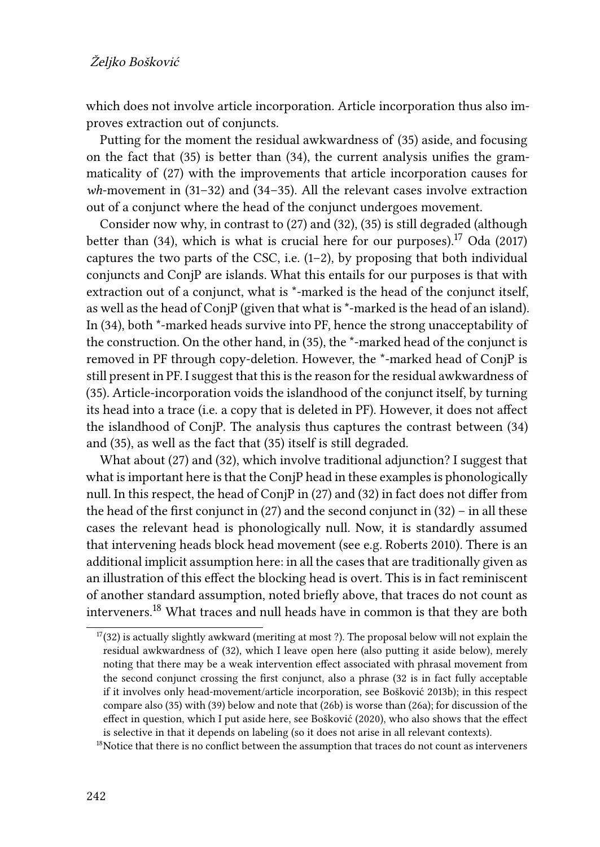which does not involve article incorporation. Article incorporation thus also improves extraction out of conjuncts.

Putting for the moment the residual awkwardness of([35\)](#page-14-1) aside, and focusing on the fact that([35\)](#page-14-1) is better than [\(34](#page-14-0)), the current analysis unifies the grammaticality of [\(27](#page-11-2)) with the improvements that article incorporation causes for *wh*-movement in([31–](#page-12-2)[32](#page-12-3)) and([34](#page-14-0)[–35](#page-14-1)). All the relevant cases involve extraction out of a conjunct where the head of the conjunct undergoes movement.

Consider now why, in contrast to([27\)](#page-11-2) and [\(32\)](#page-12-3), [\(35](#page-14-1)) is still degraded (although betterthan ([34](#page-14-0)), which is what is crucial here for our purposes).<sup>17</sup> [Oda \(2017\)](#page-29-0) capturesthe two parts of the CSC, i.e.  $(1-2)$  $(1-2)$ , by proposing that both individual conjuncts and ConjP are islands. What this entails for our purposes is that with extraction out of a conjunct, what is \*-marked is the head of the conjunct itself, as well as the head of ConjP (given that what is \*-marked is the head of an island). In [\(34\)](#page-14-0), both \*-marked heads survive into PF, hence the strong unacceptability of the construction. On the other hand, in [\(35](#page-14-1)), the \*-marked head of the conjunct is removed in PF through copy-deletion. However, the \*-marked head of ConjP is still present in PF. I suggest that this is the reason for the residual awkwardness of [\(35](#page-14-1)). Article-incorporation voids the islandhood of the conjunct itself, by turning its head into a trace (i.e. a copy that is deleted in PF). However, it does not affect the islandhood of ConjP. The analysis thus captures the contrast between([34](#page-14-0)) and([35\)](#page-14-1), as well as the fact that [\(35](#page-14-1)) itself is still degraded.

What about([27](#page-11-2)) and [\(32\)](#page-12-3), which involve traditional adjunction? I suggest that what is important here is that the ConjP head in these examples is phonologically null. In this respect, the head of ConjP in([27](#page-11-2)) and([32](#page-12-3)) in fact does not differ from thehead of the first conjunct in  $(27)$  $(27)$  and the second conjunct in  $(32)$  – in all these cases the relevant head is phonologically null. Now, it is standardly assumed that intervening heads block head movement (see e.g. [Roberts 2010](#page-30-13)). There is an additional implicit assumption here: in all the cases that are traditionally given as an illustration of this effect the blocking head is overt. This is in fact reminiscent of another standard assumption, noted briefly above, that traces do not count as interveners.<sup>18</sup> What traces and null heads have in common is that they are both

 $17(32)$  $17(32)$  $17(32)$  is actually slightly awkward (meriting at most ?). The proposal below will not explain the residual awkwardness of [\(32\)](#page-12-3), which I leave open here (also putting it aside below), merely noting that there may be a weak intervention effect associated with phrasal movement from the second conjunct crossing the first conjunct, also a phrase [\(32](#page-12-3) is in fact fully acceptable if it involves only head-movement/article incorporation, see [Bošković 2013b\)](#page-27-8); in this respect compare also ([35\)](#page-14-1) with ([39](#page-18-0)) below and note that [\(26b](#page-11-4)) is worse than([26](#page-11-4)a); for discussion of the effect in question, which I put aside here, see [Bošković \(2020\)](#page-27-2), who also shows that the effect is selective in that it depends on labeling (so it does not arise in all relevant contexts).

<sup>&</sup>lt;sup>18</sup>Notice that there is no conflict between the assumption that traces do not count as interveners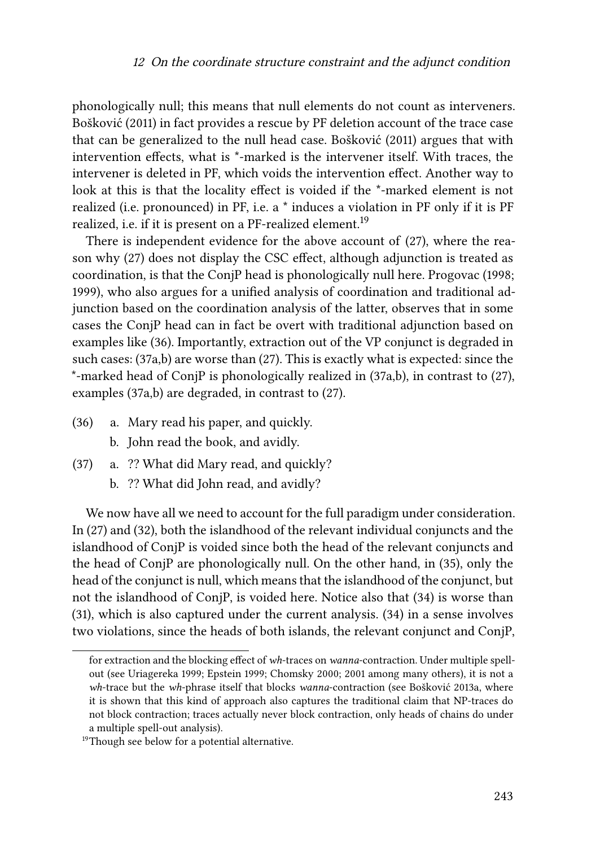phonologically null; this means that null elements do not count as interveners. [Bošković \(2011\)](#page-27-7) in fact provides a rescue by PF deletion account of the trace case that can be generalized to the null head case. [Bošković \(2011\)](#page-27-7) argues that with intervention effects, what is \*-marked is the intervener itself. With traces, the intervener is deleted in PF, which voids the intervention effect. Another way to look at this is that the locality effect is voided if the \*-marked element is not realized (i.e. pronounced) in PF, i.e. a \* induces a violation in PF only if it is PF realized, i.e. if it is present on a PF-realized element.<sup>19</sup>

There is independent evidence for the above account of([27\)](#page-11-2), where the reason why([27\)](#page-11-2) does not display the CSC effect, although adjunction is treated as coordination, is that the ConjP head is phonologically null here. [Progovac \(1998;](#page-30-4) [1999\)](#page-30-3), who also argues for a unified analysis of coordination and traditional adjunction based on the coordination analysis of the latter, observes that in some cases the ConjP head can in fact be overt with traditional adjunction based on examples like [\(36](#page-16-0)). Importantly, extraction out of the VP conjunct is degraded in such cases: [\(37](#page-16-1)a,b) are worse than [\(27](#page-11-2)). This is exactly what is expected: since the \*-marked head of ConjP is phonologically realized in [\(37](#page-16-1)a,b), in contrast to([27\)](#page-11-2), examples([37](#page-16-1)a,b) are degraded, in contrast to [\(27](#page-11-2)).

- <span id="page-16-0"></span>(36) a. Mary read his paper, and quickly.
	- b. John read the book, and avidly.
- <span id="page-16-1"></span>(37) a. ?? What did Mary read, and quickly?
	- b. ?? What did John read, and avidly?

We now have all we need to account for the full paradigm under consideration. In([27\)](#page-11-2) and([32\)](#page-12-3), both the islandhood of the relevant individual conjuncts and the islandhood of ConjP is voided since both the head of the relevant conjuncts and the head of ConjP are phonologically null. On the other hand, in [\(35](#page-14-1)), only the head of the conjunct is null, which means that the islandhood of the conjunct, but not the islandhood of ConjP, is voided here. Notice also that [\(34\)](#page-14-0) is worse than [\(31](#page-12-2)), which is also captured under the current analysis.([34](#page-14-0)) in a sense involves two violations, since the heads of both islands, the relevant conjunct and ConjP,

for extraction and the blocking effect of *wh*-traces on *wanna*-contraction. Under multiple spellout (see [Uriagereka 1999;](#page-31-8) [Epstein 1999](#page-28-13); [Chomsky 2000](#page-28-14); [2001](#page-28-15) among many others), it is not a *wh*-trace but the *wh*-phrase itself that blocks *wanna*-contraction (see [Bošković 2013a,](#page-27-12) where it is shown that this kind of approach also captures the traditional claim that NP-traces do not block contraction; traces actually never block contraction, only heads of chains do under a multiple spell-out analysis).

<sup>&</sup>lt;sup>19</sup>Though see below for a potential alternative.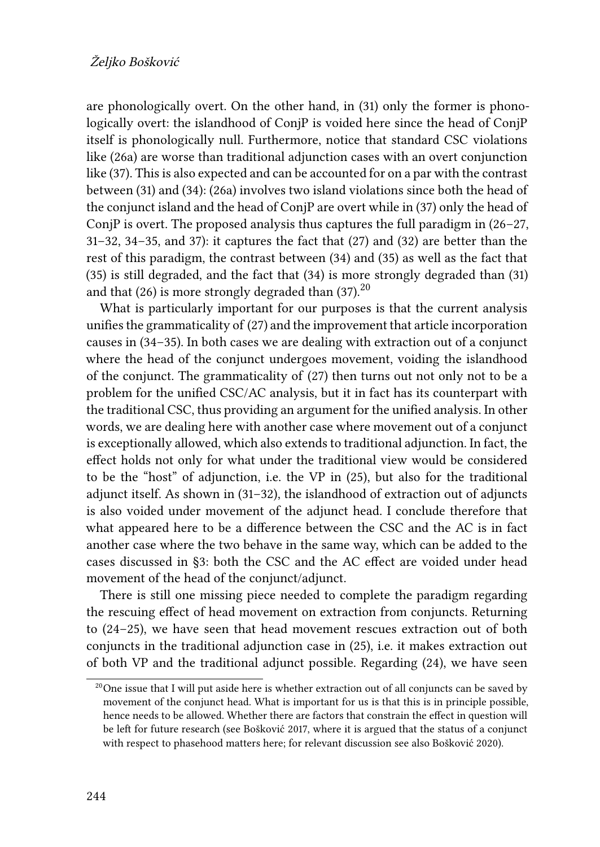are phonologically overt. On the other hand, in([31\)](#page-12-2) only the former is phonologically overt: the islandhood of ConjP is voided here since the head of ConjP itself is phonologically null. Furthermore, notice that standard CSC violations like([26](#page-11-4)a) are worse than traditional adjunction cases with an overt conjunction like [\(37\)](#page-16-1). This is also expected and can be accounted for on a par with the contrast between([31\)](#page-12-2) and([34\)](#page-14-0): [\(26a](#page-11-4)) involves two island violations since both the head of the conjunct island and the head of ConjP are overt while in([37](#page-16-1)) only the head of ConjP is overt. The proposed analysis thus captures the full paradigm in  $(26-27, 12)$  $(26-27, 12)$  $(26-27, 12)$ [31](#page-12-2)[–32,](#page-12-3) [34–](#page-14-0)[35,](#page-14-1) and [37\)](#page-16-1): it captures the fact that [\(27](#page-11-2)) and([32\)](#page-12-3) are better than the rest of this paradigm, the contrast between [\(34](#page-14-0)) and [\(35](#page-14-1)) as well as the fact that [\(35](#page-14-1)) is still degraded, and the fact that [\(34\)](#page-14-0) is more strongly degraded than [\(31](#page-12-2)) andthat  $(26)$  is more strongly degraded than  $(37)$  $(37)$ <sup>20</sup>

What is particularly important for our purposes is that the current analysis unifies the grammaticality of([27\)](#page-11-2) and the improvement that article incorporation causes in([34–](#page-14-0)[35\)](#page-14-1). In both cases we are dealing with extraction out of a conjunct where the head of the conjunct undergoes movement, voiding the islandhood of the conjunct. The grammaticality of [\(27](#page-11-2)) then turns out not only not to be a problem for the unified CSC/AC analysis, but it in fact has its counterpart with the traditional CSC, thus providing an argument for the unified analysis. In other words, we are dealing here with another case where movement out of a conjunct is exceptionally allowed, which also extends to traditional adjunction. In fact, the effect holds not only for what under the traditional view would be considered to be the "host" of adjunction, i.e. the VP in([25\)](#page-11-1), but also for the traditional adjunct itself. As shown in([31–](#page-12-2)[32\)](#page-12-3), the islandhood of extraction out of adjuncts is also voided under movement of the adjunct head. I conclude therefore that what appeared here to be a difference between the CSC and the AC is in fact another case where the two behave in the same way, which can be added to the cases discussed in [§3](#page-5-1): both the CSC and the AC effect are voided under head movement of the head of the conjunct/adjunct.

There is still one missing piece needed to complete the paradigm regarding the rescuing effect of head movement on extraction from conjuncts. Returning to([24](#page-11-0)[–25](#page-11-1)), we have seen that head movement rescues extraction out of both conjuncts in the traditional adjunction case in [\(25](#page-11-1)), i.e. it makes extraction out of both VP and the traditional adjunct possible. Regarding([24\)](#page-11-0), we have seen

 $^{20}$ One issue that I will put aside here is whether extraction out of all conjuncts can be saved by movement of the conjunct head. What is important for us is that this is in principle possible, hence needs to be allowed. Whether there are factors that constrain the effect in question will be left for future research (see [Bošković 2017](#page-27-3), where it is argued that the status of a conjunct with respect to phasehood matters here; for relevant discussion see also [Bošković 2020](#page-27-2)).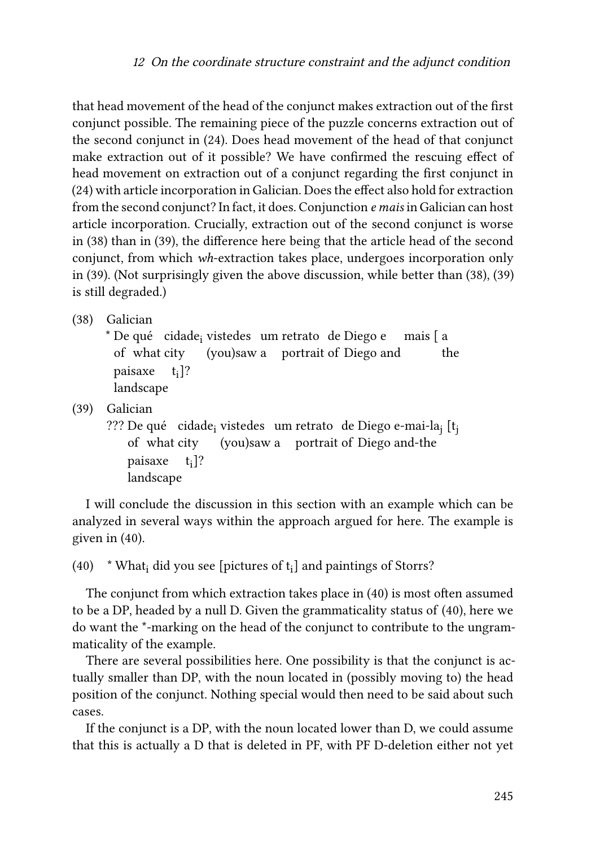that head movement of the head of the conjunct makes extraction out of the first conjunct possible. The remaining piece of the puzzle concerns extraction out of the second conjunct in([24](#page-11-0)). Does head movement of the head of that conjunct make extraction out of it possible? We have confirmed the rescuing effect of head movement on extraction out of a conjunct regarding the first conjunct in [\(24\)](#page-11-0) with article incorporation in Galician. Does the effect also hold for extraction from the second conjunct? In fact, it does. Conjunction *e mais* in Galician can host article incorporation. Crucially, extraction out of the second conjunct is worse in [\(38](#page-18-1)) than in([39\)](#page-18-0), the difference here being that the article head of the second conjunct, from which *wh*-extraction takes place, undergoes incorporation only in([39](#page-18-0)). (Not surprisingly given the above discussion, while better than([38\)](#page-18-1),([39\)](#page-18-0) is still degraded.)

<span id="page-18-1"></span>(38) Galician

\* De qué cidade<sub>i</sub> vistedes um retrato de Diego e mais [ a of what city (you)saw a portrait of Diego and the paisaxe t<sub>i</sub>]? landscape

<span id="page-18-0"></span>(39) Galician

??? De qué ) cidade<sub>i</sub> vistedes um retrato de Diego e-mai-la<sub>j</sub> [t<sub>j</sub> of what city (you)saw a portrait of Diego and-the paisaxe t<sub>i</sub>]? landscape

I will conclude the discussion in this section with an example which can be analyzed in several ways within the approach argued for here. The example is given in [\(40\)](#page-18-2).

<span id="page-18-2"></span>(40)  $\star$  What<sub>i</sub> did you see [pictures of t<sub>i</sub>] and paintings of Storrs?

The conjunct from which extraction takes place in [\(40\)](#page-18-2) is most often assumed to be a DP, headed by a null D. Given the grammaticality status of [\(40\)](#page-18-2), here we do want the \*-marking on the head of the conjunct to contribute to the ungrammaticality of the example.

There are several possibilities here. One possibility is that the conjunct is actually smaller than DP, with the noun located in (possibly moving to) the head position of the conjunct. Nothing special would then need to be said about such cases.

If the conjunct is a DP, with the noun located lower than D, we could assume that this is actually a D that is deleted in PF, with PF D-deletion either not yet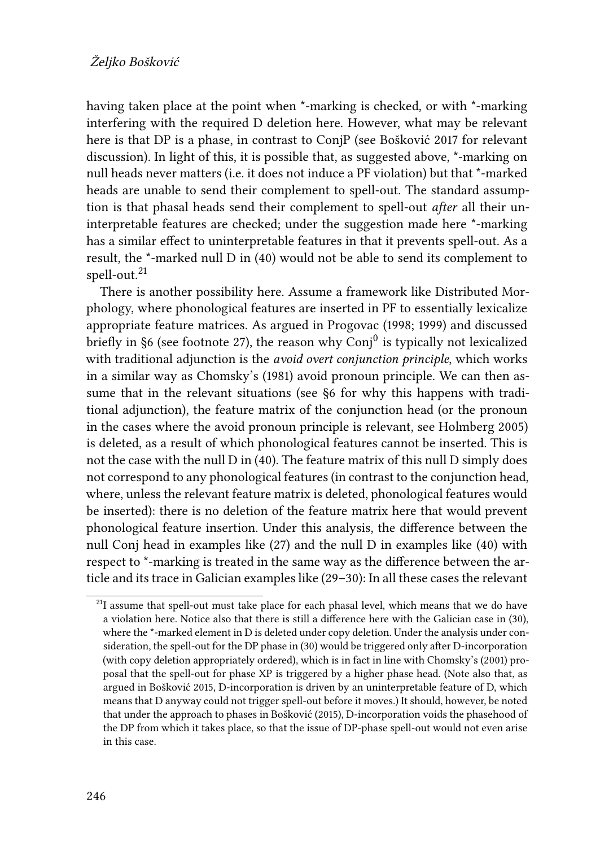having taken place at the point when \*-marking is checked, or with \*-marking interfering with the required D deletion here. However, what may be relevant here is that DP is a phase, in contrast to ConjP (see [Bošković 2017](#page-27-3) for relevant discussion). In light of this, it is possible that, as suggested above, \*-marking on null heads never matters (i.e. it does not induce a PF violation) but that \*-marked heads are unable to send their complement to spell-out. The standard assumption is that phasal heads send their complement to spell-out *after* all their uninterpretable features are checked; under the suggestion made here \*-marking has a similar effect to uninterpretable features in that it prevents spell-out. As a result, the \*-marked null D in([40](#page-18-2)) would not be able to send its complement to spell-out.<sup>21</sup>

There is another possibility here. Assume a framework like Distributed Morphology, where phonological features are inserted in PF to essentially lexicalize appropriate feature matrices. As argued in [Progovac \(1998](#page-30-4); [1999\)](#page-30-3) and discussed briefly in [§6](#page-24-0) (see footnote [27](#page-24-0)), the reason why  $\mathrm{Conj}^0$  is typically not lexicalized with traditional adjunction is the *avoid overt conjunction principle*, which works in a similar way as [Chomsky'](#page-28-16)s (1981) avoid pronoun principle. We can then assume that in the relevant situations (see §[6](#page-24-0) for why this happens with traditional adjunction), the feature matrix of the conjunction head (or the pronoun in the cases where the avoid pronoun principle is relevant, see [Holmberg 2005](#page-28-17)) is deleted, as a result of which phonological features cannot be inserted. This is not the case with the null D in([40](#page-18-2)). The feature matrix of this null D simply does not correspond to any phonological features (in contrast to the conjunction head, where, unless the relevant feature matrix is deleted, phonological features would be inserted): there is no deletion of the feature matrix here that would prevent phonological feature insertion. Under this analysis, the difference between the null Conj head in examples like([27\)](#page-11-2) and the null D in examples like [\(40\)](#page-18-2) with respect to \*-marking is treated in the same way as the difference between the article and its trace in Galician examples like [\(29–](#page-12-0)[30](#page-12-1)): In all these cases the relevant

<sup>&</sup>lt;sup>21</sup>I assume that spell-out must take place for each phasal level, which means that we do have a violation here. Notice also that there is still a difference here with the Galician case in ([30](#page-12-1)), where the \*-marked element in D is deleted under copy deletion. Under the analysis under consideration, the spell-out for the DP phase in [\(30\)](#page-12-1) would be triggered only after D-incorporation (with copy deletion appropriately ordered), which is in fact in line with [Chomsky](#page-28-15)'s (2001) proposal that the spell-out for phase XP is triggered by a higher phase head. (Note also that, as argued in [Bošković 2015](#page-27-0), D-incorporation is driven by an uninterpretable feature of D, which means that D anyway could not trigger spell-out before it moves.) It should, however, be noted that under the approach to phases in [Bošković \(2015\)](#page-27-0), D-incorporation voids the phasehood of the DP from which it takes place, so that the issue of DP-phase spell-out would not even arise in this case.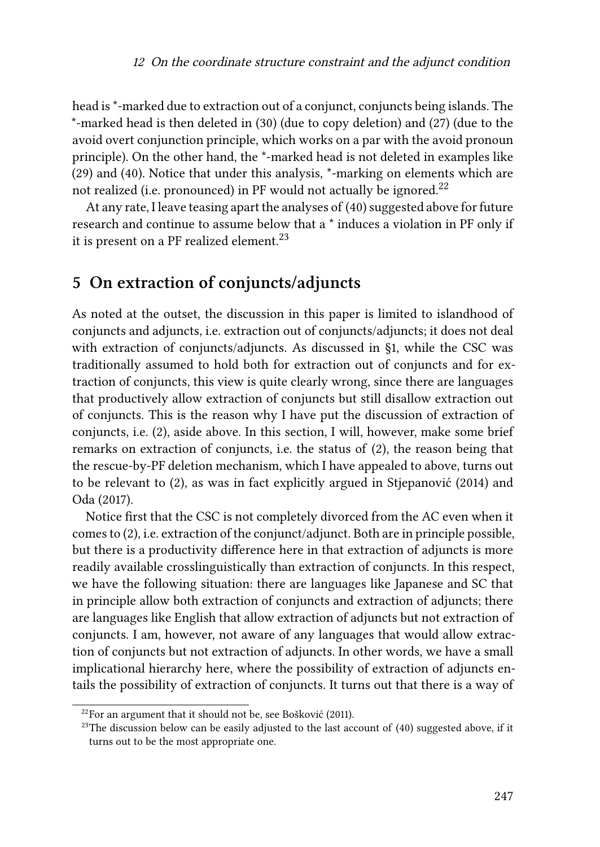head is \*-marked due to extraction out of a conjunct, conjuncts being islands. The \*-marked head is then deleted in([30](#page-12-1)) (due to copy deletion) and [\(27](#page-11-2)) (due to the avoid overt conjunction principle, which works on a par with the avoid pronoun principle). On the other hand, the \*-marked head is not deleted in examples like [\(29](#page-12-0)) and [\(40](#page-18-2)). Notice that under this analysis, \*-marking on elements which are not realized (i.e. pronounced) in PF would not actually be ignored.<sup>22</sup>

At any rate, I leave teasing apart the analyses of([40\)](#page-18-2) suggested above for future research and continue to assume below that a \* induces a violation in PF only if it is present on a PF realized element.<sup>23</sup>

### <span id="page-20-0"></span>**5 On extraction of conjuncts/adjuncts**

As noted at the outset, the discussion in this paper is limited to islandhood of conjuncts and adjuncts, i.e. extraction out of conjuncts/adjuncts; it does not deal with extraction of conjuncts/adjuncts. As discussed in [§1](#page-0-0), while the CSC was traditionally assumed to hold both for extraction out of conjuncts and for extraction of conjuncts, this view is quite clearly wrong, since there are languages that productively allow extraction of conjuncts but still disallow extraction out of conjuncts. This is the reason why I have put the discussion of extraction of conjuncts, i.e.([2\)](#page-1-1), aside above. In this section, I will, however, make some brief remarks on extraction of conjuncts, i.e. the status of([2](#page-1-1)), the reason being that the rescue-by-PF deletion mechanism, which I have appealed to above, turns out to be relevant to([2\)](#page-1-1), as was in fact explicitly argued in [Stjepanović \(2014\)](#page-30-0) and [Oda \(2017\).](#page-29-0)

Notice first that the CSC is not completely divorced from the AC even when it comes to [\(2](#page-1-1)), i.e. extraction of the conjunct/adjunct. Both are in principle possible, but there is a productivity difference here in that extraction of adjuncts is more readily available crosslinguistically than extraction of conjuncts. In this respect, we have the following situation: there are languages like Japanese and SC that in principle allow both extraction of conjuncts and extraction of adjuncts; there are languages like English that allow extraction of adjuncts but not extraction of conjuncts. I am, however, not aware of any languages that would allow extraction of conjuncts but not extraction of adjuncts. In other words, we have a small implicational hierarchy here, where the possibility of extraction of adjuncts entails the possibility of extraction of conjuncts. It turns out that there is a way of

 $22$ For an argument that it should not be, see [Bošković \(2011\).](#page-27-7)

 $23$ The discussion below can be easily adjusted to the last account of ([40\)](#page-18-2) suggested above, if it turns out to be the most appropriate one.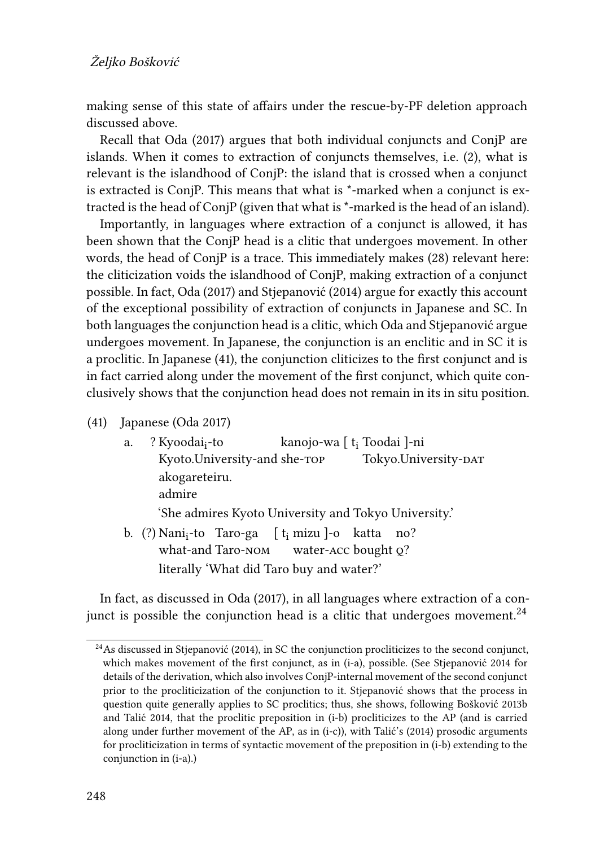making sense of this state of affairs under the rescue-by-PF deletion approach discussed above.

Recall that [Oda \(2017\)](#page-29-0) argues that both individual conjuncts and ConjP are islands. When it comes to extraction of conjuncts themselves, i.e.([2\)](#page-1-1), what is relevant is the islandhood of ConjP: the island that is crossed when a conjunct is extracted is ConjP. This means that what is \*-marked when a conjunct is extracted is the head of ConjP (given that what is \*-marked is the head of an island).

Importantly, in languages where extraction of a conjunct is allowed, it has been shown that the ConjP head is a clitic that undergoes movement. In other words, the head of ConjP is a trace. This immediately makes([28](#page-11-3)) relevant here: the cliticization voids the islandhood of ConjP, making extraction of a conjunct possible. In fact, [Oda \(2017\)](#page-29-0) and [Stjepanović \(2014\)](#page-30-0) argue for exactly this account of the exceptional possibility of extraction of conjuncts in Japanese and SC. In both languages the conjunction head is a clitic, which [Oda](#page-29-0) and [Stjepanović](#page-30-0) argue undergoes movement. In Japanese, the conjunction is an enclitic and in SC it is a proclitic. In Japanese([41\)](#page-21-0), the conjunction cliticizes to the first conjunct and is in fact carried along under the movement of the first conjunct, which quite conclusively shows that the conjunction head does not remain in its in situ position.

- <span id="page-21-0"></span>(41) Japanese([Oda 2017](#page-29-0))
	- a. ? Kyoodai<sub>i</sub>-to Kyoto.University-and she-top kanojo-wa [ t<sub>i</sub> Toodai ]-ni Tokyo.University-DAT akogareteiru. admire 'She admires Kyoto University and Tokyo University.' b. (?) Nani<sub>i</sub>-to Taro-ga [t<sub>i</sub> mizu]-o katta no? what-and Taro-nom water-acc bought q? literally 'What did Taro buy and water?'

In fact, as discussed in [Oda \(2017\),](#page-29-0) in all languages where extraction of a conjunct is possible the conjunction head is a clitic that undergoes movement.<sup>24</sup>

 $24$ As discussed in [Stjepanović \(2014\)](#page-30-0), in SC the conjunction procliticizes to the second conjunct, which makes movement of the first conjunct, as in (i-a), possible. (See [Stjepanović 2014](#page-30-0) for details of the derivation, which also involves ConjP-internal movement of the second conjunct prior to the procliticization of the conjunction to it. [Stjepanović](#page-30-0) shows that the process in question quite generally applies to SC proclitics; thus, she shows, following [Bošković 2013b](#page-27-8) and [Talić 2014,](#page-31-5) that the proclitic preposition in (i-b) procliticizes to the AP (and is carried along under further movement of the AP, as in (i-c)), with [Talić](#page-31-5)'s (2014) prosodic arguments for procliticization in terms of syntactic movement of the preposition in (i-b) extending to the conjunction in (i-a).)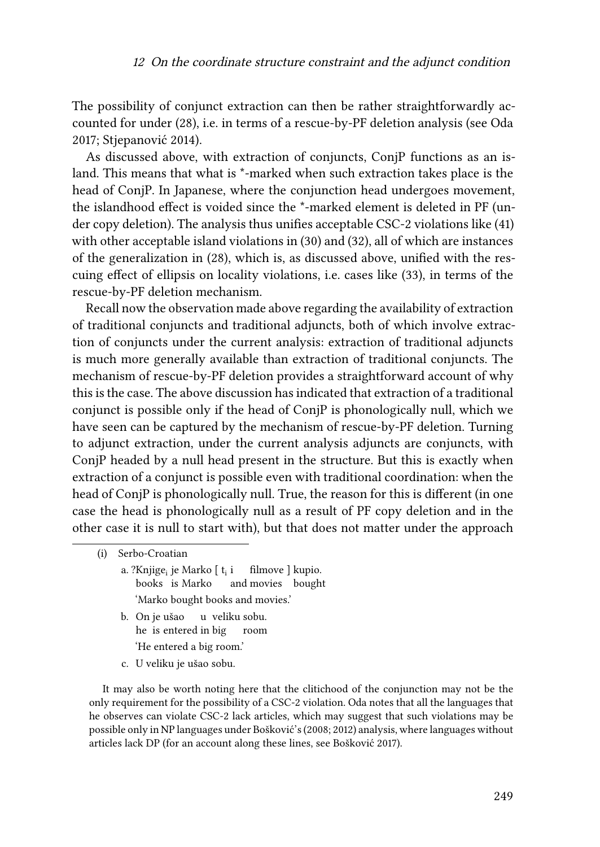The possibility of conjunct extraction can then be rather straightforwardly accounted for under [\(28\)](#page-11-3), i.e. in terms of a rescue-by-PF deletion analysis (see [Oda](#page-29-0) [2017](#page-29-0); [Stjepanović 2014\)](#page-30-0).

As discussed above, with extraction of conjuncts, ConjP functions as an island. This means that what is \*-marked when such extraction takes place is the head of ConjP. In Japanese, where the conjunction head undergoes movement, the islandhood effect is voided since the \*-marked element is deleted in PF (under copy deletion). The analysis thus unifies acceptable CSC-2 violations like([41\)](#page-21-0) with other acceptable island violations in([30](#page-12-1)) and([32\)](#page-12-3), all of which are instances of the generalization in([28\)](#page-11-3), which is, as discussed above, unified with the rescuing effect of ellipsis on locality violations, i.e. cases like [\(33](#page-13-0)), in terms of the rescue-by-PF deletion mechanism.

Recall now the observation made above regarding the availability of extraction of traditional conjuncts and traditional adjuncts, both of which involve extraction of conjuncts under the current analysis: extraction of traditional adjuncts is much more generally available than extraction of traditional conjuncts. The mechanism of rescue-by-PF deletion provides a straightforward account of why this is the case. The above discussion has indicated that extraction of a traditional conjunct is possible only if the head of ConjP is phonologically null, which we have seen can be captured by the mechanism of rescue-by-PF deletion. Turning to adjunct extraction, under the current analysis adjuncts are conjuncts, with ConjP headed by a null head present in the structure. But this is exactly when extraction of a conjunct is possible even with traditional coordination: when the head of ConjP is phonologically null. True, the reason for this is different (in one case the head is phonologically null as a result of PF copy deletion and in the other case it is null to start with), but that does not matter under the approach

- a. ?Knjige<sub>i</sub> je Marko [ t<sub>i</sub> i books is Marko and movies bought filmove ] kupio. 'Marko bought books and movies.'
- b. On je ušao he is entered in big u veliku sobu. room 'He entered a big room.'
- c. U veliku je ušao sobu.

<span id="page-22-0"></span>It may also be worth noting here that the clitichood of the conjunction may not be the only requirement for the possibility of a CSC-2 violation. [Oda](#page-29-0) notes that all the languages that he observes can violate CSC-2 lack articles, which may suggest that such violations may be possible only in NP languages under [Bošković](#page-27-13)'s([2008;](#page-27-13) [2012\)](#page-27-5) analysis, where languages without articles lack DP (for an account along these lines, see [Bošković 2017\)](#page-27-3).

<sup>(</sup>i) Serbo-Croatian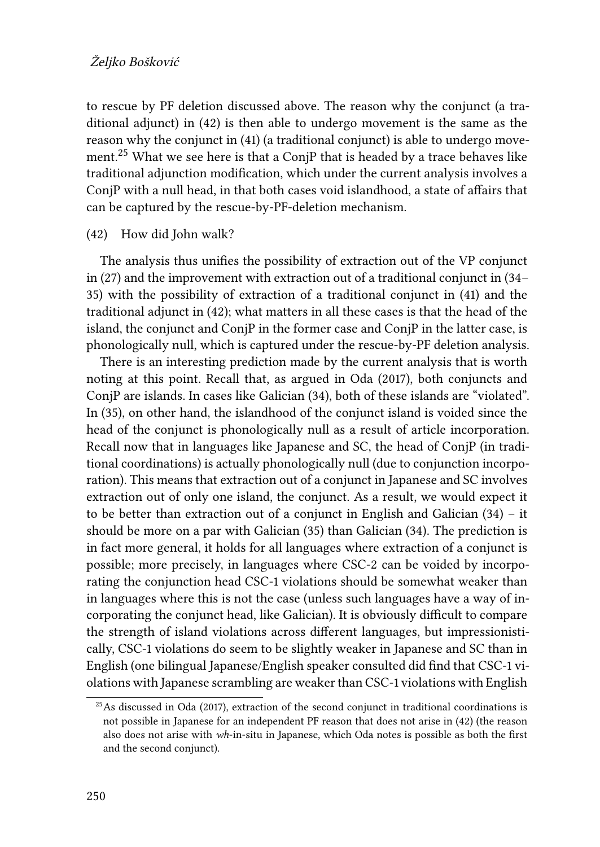to rescue by PF deletion discussed above. The reason why the conjunct (a traditional adjunct) in [\(42\)](#page-23-0) is then able to undergo movement is the same as the reason why the conjunct in([41\)](#page-21-0) (a traditional conjunct) is able to undergo movement.<sup>25</sup> What we see here is that a ConjP that is headed by a trace behaves like traditional adjunction modification, which under the current analysis involves a ConjP with a null head, in that both cases void islandhood, a state of affairs that can be captured by the rescue-by-PF-deletion mechanism.

#### <span id="page-23-0"></span>(42) How did John walk?

The analysis thus unifies the possibility of extraction out of the VP conjunct in [\(27](#page-11-2)) and the improvement with extraction out of a traditional conjunct in([34](#page-14-0)– [35](#page-14-1)) with the possibility of extraction of a traditional conjunct in([41\)](#page-21-0) and the traditional adjunct in([42](#page-23-0)); what matters in all these cases is that the head of the island, the conjunct and ConjP in the former case and ConjP in the latter case, is phonologically null, which is captured under the rescue-by-PF deletion analysis.

There is an interesting prediction made by the current analysis that is worth noting at this point. Recall that, as argued in [Oda \(2017\)](#page-29-0), both conjuncts and ConjP are islands. In cases like Galician([34](#page-14-0)), both of these islands are "violated". In([35\)](#page-14-1), on other hand, the islandhood of the conjunct island is voided since the head of the conjunct is phonologically null as a result of article incorporation. Recall now that in languages like Japanese and SC, the head of ConjP (in traditional coordinations) is actually phonologically null (due to conjunction incorporation). This means that extraction out of a conjunct in Japanese and SC involves extraction out of only one island, the conjunct. As a result, we would expect it to be better than extraction out of a conjunct in English and Galician([34](#page-14-0)) – it should be more on a par with Galician [\(35](#page-14-1)) than Galician [\(34\)](#page-14-0). The prediction is in fact more general, it holds for all languages where extraction of a conjunct is possible; more precisely, in languages where CSC-2 can be voided by incorporating the conjunction head CSC-1 violations should be somewhat weaker than in languages where this is not the case (unless such languages have a way of incorporating the conjunct head, like Galician). It is obviously difficult to compare the strength of island violations across different languages, but impressionistically, CSC-1 violations do seem to be slightly weaker in Japanese and SC than in English (one bilingual Japanese/English speaker consulted did find that CSC-1 violations with Japanese scrambling are weaker than CSC-1 violations with English

 $25$ As discussed in [Oda \(2017\),](#page-29-0) extraction of the second conjunct in traditional coordinations is not possible in Japanese for an independent PF reason that does not arise in ([42](#page-23-0)) (the reason also does not arise with *wh*-in-situ in Japanese, which Oda notes is possible as both the first and the second conjunct).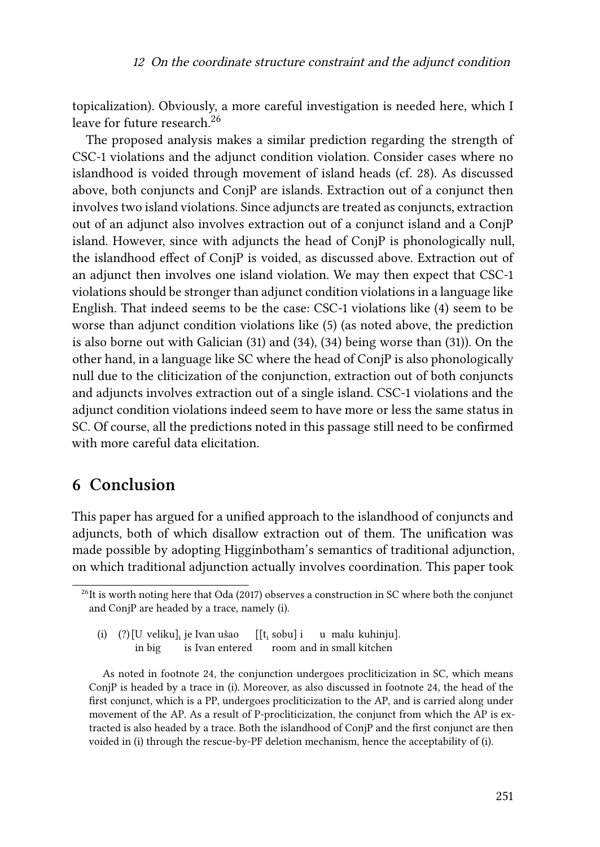topicalization). Obviously, a more careful investigation is needed here, which I leave for future research.<sup>26</sup>

The proposed analysis makes a similar prediction regarding the strength of CSC-1 violations and the adjunct condition violation. Consider cases where no islandhood is voided through movement of island heads (cf. [28](#page-11-3)). As discussed above, both conjuncts and ConjP are islands. Extraction out of a conjunct then involves two island violations. Since adjuncts are treated as conjuncts, extraction out of an adjunct also involves extraction out of a conjunct island and a ConjP island. However, since with adjuncts the head of ConjP is phonologically null, the islandhood effect of ConjP is voided, as discussed above. Extraction out of an adjunct then involves one island violation. We may then expect that CSC-1 violations should be stronger than adjunct condition violations in a language like English. That indeed seems to be the case: CSC-1 violations like [\(4](#page-1-3)) seem to be worse than adjunct condition violations like([5\)](#page-1-4) (as noted above, the prediction is also borne out with Galician [\(31](#page-12-2)) and([34](#page-14-0)), [\(34](#page-14-0)) being worse than [\(31](#page-12-2))). On the other hand, in a language like SC where the head of ConjP is also phonologically null due to the cliticization of the conjunction, extraction out of both conjuncts and adjuncts involves extraction out of a single island. CSC-1 violations and the adjunct condition violations indeed seem to have more or less the same status in SC. Of course, all the predictions noted in this passage still need to be confirmed with more careful data elicitation.

### <span id="page-24-0"></span>**6 Conclusion**

This paper has argued for a unified approach to the islandhood of conjuncts and adjuncts, both of which disallow extraction out of them. The unification was made possible by adopting [Higginbotham'](#page-28-1)s semantics of traditional adjunction, on which traditional adjunction actually involves coordination. This paper took

(i) (?) [U veliku]<sub>i</sub> je Ivan ušao in big is Ivan entered  $[[t_i \text{ sobu}]$  i room and in small kitchen u malu kuhinju].

As noted in footnote [24,](#page-22-0) the conjunction undergoes procliticization in SC, which means ConjP is headed by a trace in (i). Moreover, as also discussed in footnote [24,](#page-22-0) the head of the first conjunct, which is a PP, undergoes procliticization to the AP, and is carried along under movement of the AP. As a result of P-procliticization, the conjunct from which the AP is extracted is also headed by a trace. Both the islandhood of ConjP and the first conjunct are then voided in (i) through the rescue-by-PF deletion mechanism, hence the acceptability of (i).

 $^{26}$ It is worth noting here that [Oda \(2017\)](#page-29-0) observes a construction in SC where both the conjunct and ConjP are headed by a trace, namely (i).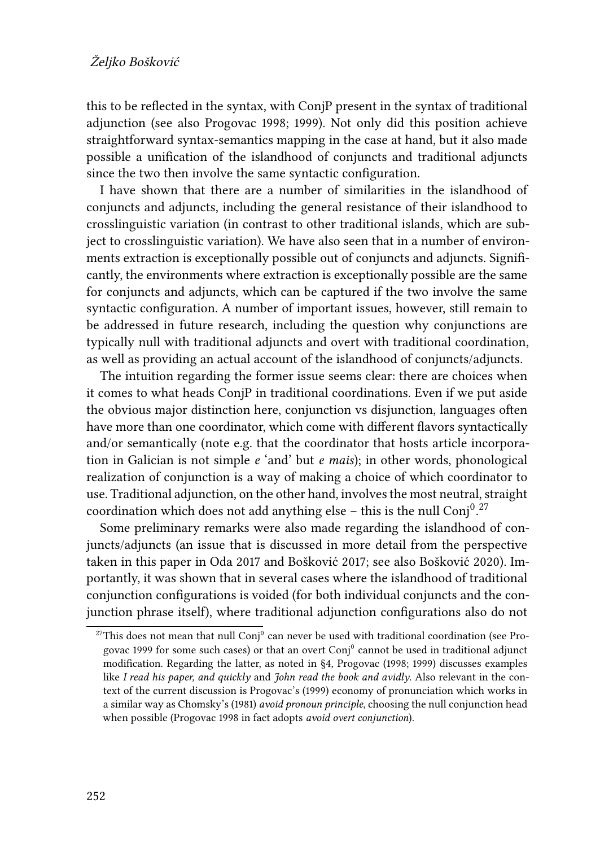this to be reflected in the syntax, with ConjP present in the syntax of traditional adjunction (see also [Progovac 1998;](#page-30-4) [1999\)](#page-30-3). Not only did this position achieve straightforward syntax-semantics mapping in the case at hand, but it also made possible a unification of the islandhood of conjuncts and traditional adjuncts since the two then involve the same syntactic configuration.

I have shown that there are a number of similarities in the islandhood of conjuncts and adjuncts, including the general resistance of their islandhood to crosslinguistic variation (in contrast to other traditional islands, which are subject to crosslinguistic variation). We have also seen that in a number of environments extraction is exceptionally possible out of conjuncts and adjuncts. Significantly, the environments where extraction is exceptionally possible are the same for conjuncts and adjuncts, which can be captured if the two involve the same syntactic configuration. A number of important issues, however, still remain to be addressed in future research, including the question why conjunctions are typically null with traditional adjuncts and overt with traditional coordination, as well as providing an actual account of the islandhood of conjuncts/adjuncts.

The intuition regarding the former issue seems clear: there are choices when it comes to what heads ConjP in traditional coordinations. Even if we put aside the obvious major distinction here, conjunction vs disjunction, languages often have more than one coordinator, which come with different flavors syntactically and/or semantically (note e.g. that the coordinator that hosts article incorporation in Galician is not simple *e* 'and' but *e mais*); in other words, phonological realization of conjunction is a way of making a choice of which coordinator to use. Traditional adjunction, on the other hand, involves the most neutral, straight coordination which does not add anything else – this is the null Conj $^{0.27}$ 

Some preliminary remarks were also made regarding the islandhood of conjuncts/adjuncts (an issue that is discussed in more detail from the perspective taken in this paper in [Oda 2017](#page-29-0) and [Bošković 2017;](#page-27-3) see also [Bošković 2020](#page-27-2)). Importantly, it was shown that in several cases where the islandhood of traditional conjunction configurations is voided (for both individual conjuncts and the conjunction phrase itself), where traditional adjunction configurations also do not

<sup>&</sup>lt;sup>27</sup>This does not mean that null Conj<sup>0</sup> can never be used with traditional coordination (see [Pro](#page-30-3)[govac 1999](#page-30-3) for some such cases) or that an overt  $\mathrm{Conj}^0$  cannot be used in traditional adjunct modification. Regarding the latter, as noted in §[4](#page-10-0), [Progovac \(1998;](#page-30-4) [1999\)](#page-30-3) discusses examples like *I read his paper, and quickly* and *John read the book and avidly*. Also relevant in the context of the current discussion is [Progovac'](#page-30-3)s (1999) economy of pronunciation which works in a similar way as [Chomsky'](#page-28-16)s (1981) *avoid pronoun principle*, choosing the null conjunction head when possible([Progovac 1998](#page-30-4) in fact adopts *avoid overt conjunction*).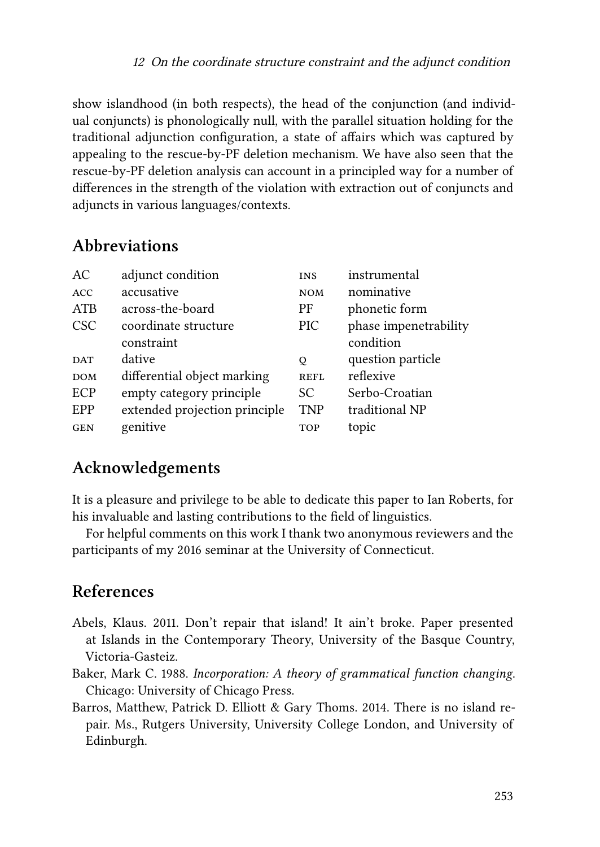show islandhood (in both respects), the head of the conjunction (and individual conjuncts) is phonologically null, with the parallel situation holding for the traditional adjunction configuration, a state of affairs which was captured by appealing to the rescue-by-PF deletion mechanism. We have also seen that the rescue-by-PF deletion analysis can account in a principled way for a number of differences in the strength of the violation with extraction out of conjuncts and adjuncts in various languages/contexts.

## **Abbreviations**

| AC         | adjunct condition             | <b>INS</b>  | instrumental          |
|------------|-------------------------------|-------------|-----------------------|
| <b>ACC</b> | accusative                    | <b>NOM</b>  | nominative            |
| ATB        | across-the-board              | PF          | phonetic form         |
| <b>CSC</b> | coordinate structure          | PIC.        | phase impenetrability |
|            | constraint                    |             | condition             |
| <b>DAT</b> | dative                        | Q           | question particle     |
| <b>DOM</b> | differential object marking   | <b>REFL</b> | reflexive             |
| ECP        | empty category principle      | SC.         | Serbo-Croatian        |
| EPP        | extended projection principle | <b>TNP</b>  | traditional NP        |
| <b>GEN</b> | genitive                      | <b>TOP</b>  | topic                 |
|            |                               |             |                       |

# **Acknowledgements**

It is a pleasure and privilege to be able to dedicate this paper to Ian Roberts, for his invaluable and lasting contributions to the field of linguistics.

For helpful comments on this work I thank two anonymous reviewers and the participants of my 2016 seminar at the University of Connecticut.

## **References**

- <span id="page-26-1"></span>Abels, Klaus. 2011. Don't repair that island! It ain't broke. Paper presented at Islands in the Contemporary Theory, University of the Basque Country, Victoria-Gasteiz.
- <span id="page-26-0"></span>Baker, Mark C. 1988. *Incorporation: A theory of grammatical function changing*. Chicago: University of Chicago Press.
- <span id="page-26-2"></span>Barros, Matthew, Patrick D. Elliott & Gary Thoms. 2014. There is no island repair. Ms., Rutgers University, University College London, and University of Edinburgh.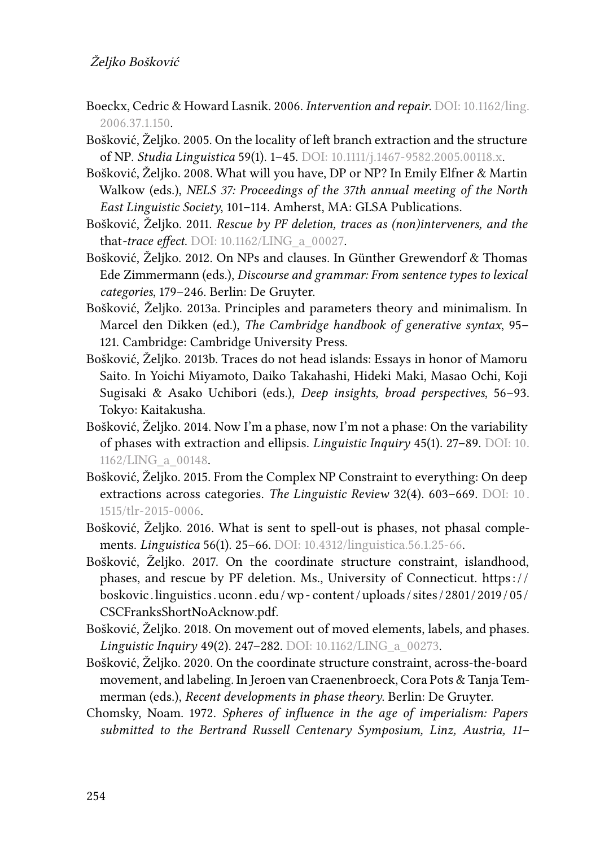### Željko Bošković

- <span id="page-27-11"></span>Boeckx, Cedric & Howard Lasnik. 2006. *Intervention and repair*. DOI: [10.1162/ling.](https://doi.org/10.1162/ling.2006.37.1.150) [2006.37.1.150.](https://doi.org/10.1162/ling.2006.37.1.150)
- <span id="page-27-4"></span>Bošković, Željko. 2005. On the locality of left branch extraction and the structure of NP. *Studia Linguistica* 59(1). 1–45. DOI: [10.1111/j.1467-9582.2005.00118.x](https://doi.org/10.1111/j.1467-9582.2005.00118.x).
- <span id="page-27-13"></span>Bošković, Željko. 2008. What will you have, DP or NP? In Emily Elfner & Martin Walkow (eds.), *NELS 37: Proceedings of the 37th annual meeting of the North East Linguistic Society*, 101–114. Amherst, MA: GLSA Publications.
- <span id="page-27-7"></span>Bošković, Željko. 2011. *Rescue by PF deletion, traces as (non)interveners, and the* that*-trace effect*. DOI: [10.1162/LING\\_a\\_00027](https://doi.org/10.1162/LING_a_00027).
- <span id="page-27-5"></span>Bošković, Željko. 2012. On NPs and clauses. In Günther Grewendorf & Thomas Ede Zimmermann (eds.), *Discourse and grammar: From sentence types to lexical categories*, 179–246. Berlin: De Gruyter.
- <span id="page-27-12"></span>Bošković, Željko. 2013a. Principles and parameters theory and minimalism. In Marcel den Dikken (ed.), *The Cambridge handbook of generative syntax*, 95– 121. Cambridge: Cambridge University Press.
- <span id="page-27-8"></span>Bošković, Željko. 2013b. Traces do not head islands: Essays in honor of Mamoru Saito. In Yoichi Miyamoto, Daiko Takahashi, Hideki Maki, Masao Ochi, Koji Sugisaki & Asako Uchibori (eds.), *Deep insights, broad perspectives*, 56–93. Tokyo: Kaitakusha.
- <span id="page-27-6"></span>Bošković, Željko. 2014. Now I'm a phase, now I'm not a phase: On the variability of phases with extraction and ellipsis. *Linguistic Inquiry* 45(1). 27–89. DOI: [10.](https://doi.org/10.1162/LING_a_00148) [1162/LING\\_a\\_00148.](https://doi.org/10.1162/LING_a_00148)
- <span id="page-27-0"></span>Bošković, Željko. 2015. From the Complex NP Constraint to everything: On deep extractions across categories. *The Linguistic Review* 32(4). 603–669. DOI: [10 .](https://doi.org/10.1515/tlr-2015-0006) [1515/tlr-2015-0006](https://doi.org/10.1515/tlr-2015-0006).
- <span id="page-27-9"></span>Bošković, Željko. 2016. What is sent to spell-out is phases, not phasal complements. *Linguistica* 56(1). 25–66. DOI: [10.4312/linguistica.56.1.25-66](https://doi.org/10.4312/linguistica.56.1.25-66).
- <span id="page-27-3"></span>Bošković, Željko. 2017. On the coordinate structure constraint, islandhood, phases, and rescue by PF deletion. Ms., University of Connecticut. https:// [boskovic .linguistics . uconn . edu /wp - content / uploads / sites / 2801 / 2019 /05 /](https://boskovic.linguistics.uconn.edu/wp-content/uploads/sites/2801/2019/05/CSCFranksShortNoAcknow.pdf) [CSCFranksShortNoAcknow.pdf](https://boskovic.linguistics.uconn.edu/wp-content/uploads/sites/2801/2019/05/CSCFranksShortNoAcknow.pdf).
- <span id="page-27-1"></span>Bošković, Željko. 2018. On movement out of moved elements, labels, and phases. *Linguistic Inquiry* 49(2). 247–282. DOI: [10.1162/LING\\_a\\_00273.](https://doi.org/10.1162/LING_a_00273)
- <span id="page-27-2"></span>Bošković, Željko. 2020. On the coordinate structure constraint, across-the-board movement, and labeling. In Jeroen van Craenenbroeck, Cora Pots & Tanja Temmerman (eds.), *Recent developments in phase theory*. Berlin: De Gruyter.
- <span id="page-27-10"></span>Chomsky, Noam. 1972. *Spheres of influence in the age of imperialism: Papers submitted to the Bertrand Russell Centenary Symposium, Linz, Austria, 11–*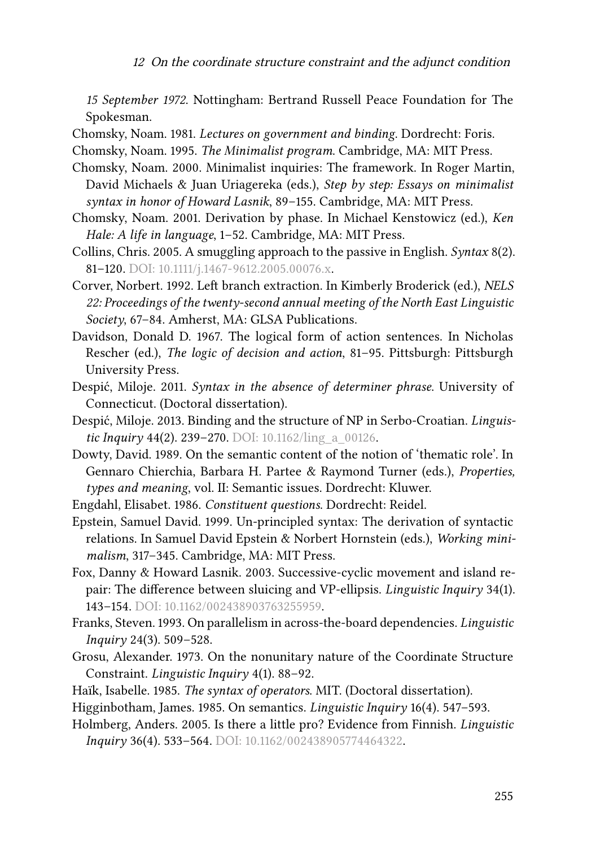<sup>12</sup> On the coordinate structure constraint and the adjunct condition

*15 September 1972*. Nottingham: Bertrand Russell Peace Foundation for The Spokesman.

<span id="page-28-16"></span>Chomsky, Noam. 1981. *Lectures on government and binding*. Dordrecht: Foris.

- <span id="page-28-11"></span>Chomsky, Noam. 1995. *The Minimalist program*. Cambridge, MA: MIT Press.
- <span id="page-28-14"></span>Chomsky, Noam. 2000. Minimalist inquiries: The framework. In Roger Martin, David Michaels & Juan Uriagereka (eds.), *Step by step: Essays on minimalist syntax in honor of Howard Lasnik*, 89–155. Cambridge, MA: MIT Press.
- <span id="page-28-15"></span>Chomsky, Noam. 2001. Derivation by phase. In Michael Kenstowicz (ed.), *Ken Hale: A life in language*, 1–52. Cambridge, MA: MIT Press.
- <span id="page-28-12"></span>Collins, Chris. 2005. A smuggling approach to the passive in English. *Syntax* 8(2). 81-120. DOI: [10.1111/j.1467-9612.2005.00076.x](https://doi.org/10.1111/j.1467-9612.2005.00076.x).
- <span id="page-28-9"></span>Corver, Norbert. 1992. Left branch extraction. In Kimberly Broderick (ed.), *NELS 22: Proceedings of the twenty-second annual meeting of the North East Linguistic Society*, 67–84. Amherst, MA: GLSA Publications.
- <span id="page-28-2"></span>Davidson, Donald D. 1967. The logical form of action sentences. In Nicholas Rescher (ed.), *The logic of decision and action*, 81–95. Pittsburgh: Pittsburgh University Press.
- <span id="page-28-7"></span>Despić, Miloje. 2011. *Syntax in the absence of determiner phrase*. University of Connecticut. (Doctoral dissertation).
- <span id="page-28-8"></span>Despić, Miloje. 2013. Binding and the structure of NP in Serbo-Croatian. *Linguistic Inquiry* 44(2). 239–270. DOI: 10.1162/ling a 00126.
- <span id="page-28-3"></span>Dowty, David. 1989. On the semantic content of the notion of 'thematic role'. In Gennaro Chierchia, Barbara H. Partee & Raymond Turner (eds.), *Properties, types and meaning*, vol. II: Semantic issues. Dordrecht: Kluwer.
- <span id="page-28-4"></span>Engdahl, Elisabet. 1986. *Constituent questions*. Dordrecht: Reidel.
- <span id="page-28-13"></span>Epstein, Samuel David. 1999. Un-principled syntax: The derivation of syntactic relations. In Samuel David Epstein & Norbert Hornstein (eds.), *Working minimalism*, 317–345. Cambridge, MA: MIT Press.
- <span id="page-28-10"></span>Fox, Danny & Howard Lasnik. 2003. Successive-cyclic movement and island repair: The difference between sluicing and VP-ellipsis. *Linguistic Inquiry* 34(1). 143–154. DOI: [10.1162/002438903763255959](https://doi.org/10.1162/002438903763255959).
- <span id="page-28-6"></span>Franks, Steven. 1993. On parallelism in across-the-board dependencies. *Linguistic Inquiry* 24(3). 509–528.
- <span id="page-28-0"></span>Grosu, Alexander. 1973. On the nonunitary nature of the Coordinate Structure Constraint. *Linguistic Inquiry* 4(1). 88–92.
- <span id="page-28-5"></span>Haı̈k, Isabelle. 1985. *The syntax of operators*. MIT. (Doctoral dissertation).
- <span id="page-28-1"></span>Higginbotham, James. 1985. On semantics. *Linguistic Inquiry* 16(4). 547–593.
- <span id="page-28-17"></span>Holmberg, Anders. 2005. Is there a little pro? Evidence from Finnish. *Linguistic Inquiry* 36(4). 533–564. DOI: [10.1162/002438905774464322.](https://doi.org/10.1162/002438905774464322)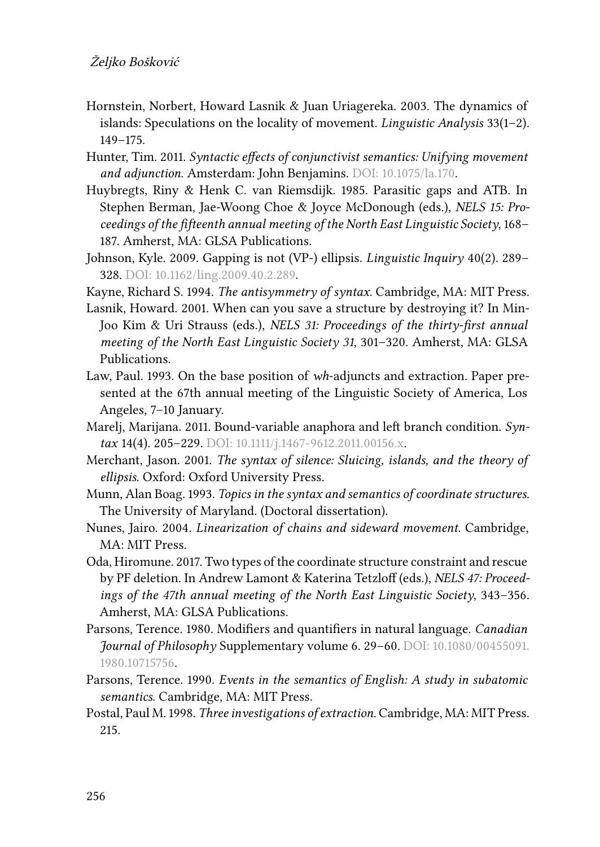- <span id="page-29-14"></span>Hornstein, Norbert, Howard Lasnik & Juan Uriagereka. 2003. The dynamics of islands: Speculations on the locality of movement. *Linguistic Analysis* 33(1–2). 149–175.
- <span id="page-29-6"></span>Hunter, Tim. 2011. *Syntactic effects of conjunctivist semantics: Unifying movement and adjunction*. Amsterdam: John Benjamins. DOI: [10.1075/la.170.](https://doi.org/10.1075/la.170)
- <span id="page-29-7"></span>Huybregts, Riny & Henk C. van Riemsdijk. 1985. Parasitic gaps and ATB. In Stephen Berman, Jae-Woong Choe & Joyce McDonough (eds.), *NELS 15: Proceedings of the fifteenth annual meeting of the North East Linguistic Society*, 168– 187. Amherst, MA: GLSA Publications.
- <span id="page-29-11"></span>Johnson, Kyle. 2009. Gapping is not (VP-) ellipsis. *Linguistic Inquiry* 40(2). 289– 328. DOI: [10.1162/ling.2009.40.2.289](https://doi.org/10.1162/ling.2009.40.2.289).
- <span id="page-29-9"></span>Kayne, Richard S. 1994. *The antisymmetry of syntax*. Cambridge, MA: MIT Press.
- <span id="page-29-13"></span>Lasnik, Howard. 2001. When can you save a structure by destroying it? In Min-Joo Kim & Uri Strauss (eds.), *NELS 31: Proceedings of the thirty-first annual meeting of the North East Linguistic Society 31*, 301–320. Amherst, MA: GLSA Publications.
- <span id="page-29-1"></span>Law, Paul. 1993. On the base position of *wh*-adjuncts and extraction. Paper presented at the 67th annual meeting of the Linguistic Society of America, Los Angeles, 7–10 January.
- <span id="page-29-10"></span>Marelj, Marijana. 2011. Bound-variable anaphora and left branch condition. *Syntax* 14(4). 205–229. DOI: [10.1111/j.1467-9612.2011.00156.x.](https://doi.org/10.1111/j.1467-9612.2011.00156.x)
- <span id="page-29-12"></span>Merchant, Jason. 2001. *The syntax of silence: Sluicing, islands, and the theory of ellipsis*. Oxford: Oxford University Press.
- <span id="page-29-3"></span>Munn, Alan Boag. 1993. *Topics in the syntax and semantics of coordinate structures*. The University of Maryland. (Doctoral dissertation).
- <span id="page-29-8"></span>Nunes, Jairo. 2004. *Linearization of chains and sideward movement*. Cambridge, MA: MIT Press.
- <span id="page-29-0"></span>Oda, Hiromune. 2017. Two types of the coordinate structure constraint and rescue by PF deletion. In Andrew Lamont & Katerina Tetzloff (eds.), *NELS 47: Proceedings of the 47th annual meeting of the North East Linguistic Society*, 343–356. Amherst, MA: GLSA Publications.
- <span id="page-29-4"></span>Parsons, Terence. 1980. Modifiers and quantifiers in natural language. *Canadian Journal of Philosophy* Supplementary volume 6. 29–60. DOI: [10.1080/00455091.](https://doi.org/10.1080/00455091.1980.10715756) [1980.10715756](https://doi.org/10.1080/00455091.1980.10715756).
- <span id="page-29-5"></span>Parsons, Terence. 1990. *Events in the semantics of English: A study in subatomic semantics*. Cambridge, MA: MIT Press.
- <span id="page-29-2"></span>Postal, Paul M. 1998. *Three investigations of extraction*. Cambridge, MA: MIT Press. 215.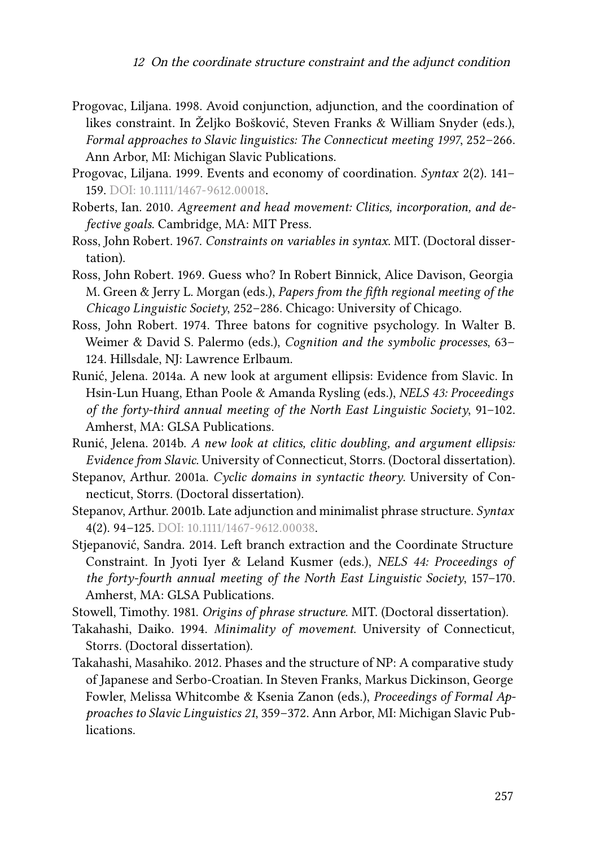- <span id="page-30-4"></span>Progovac, Liljana. 1998. Avoid conjunction, adjunction, and the coordination of likes constraint. In Željko Bošković, Steven Franks & William Snyder (eds.), *Formal approaches to Slavic linguistics: The Connecticut meeting 1997*, 252–266. Ann Arbor, MI: Michigan Slavic Publications.
- <span id="page-30-3"></span>Progovac, Liljana. 1999. Events and economy of coordination. *Syntax* 2(2). 141– 159. DOI: [10.1111/1467-9612.00018](https://doi.org/10.1111/1467-9612.00018).
- <span id="page-30-13"></span>Roberts, Ian. 2010. *Agreement and head movement: Clitics, incorporation, and defective goals*. Cambridge, MA: MIT Press.
- <span id="page-30-8"></span>Ross, John Robert. 1967. *Constraints on variables in syntax*. MIT. (Doctoral dissertation).
- <span id="page-30-12"></span>Ross, John Robert. 1969. Guess who? In Robert Binnick, Alice Davison, Georgia M. Green & Jerry L. Morgan (eds.), *Papers from the fifth regional meeting of the Chicago Linguistic Society*, 252–286. Chicago: University of Chicago.
- <span id="page-30-5"></span>Ross, John Robert. 1974. Three batons for cognitive psychology. In Walter B. Weimer & David S. Palermo (eds.), *Cognition and the symbolic processes*, 63– 124. Hillsdale, NJ: Lawrence Erlbaum.
- <span id="page-30-9"></span>Runić, Jelena. 2014a. A new look at argument ellipsis: Evidence from Slavic. In Hsin-Lun Huang, Ethan Poole & Amanda Rysling (eds.), *NELS 43: Proceedings of the forty-third annual meeting of the North East Linguistic Society*, 91–102. Amherst, MA: GLSA Publications.
- <span id="page-30-10"></span>Runić, Jelena. 2014b. *A new look at clitics, clitic doubling, and argument ellipsis: Evidence from Slavic*. University of Connecticut, Storrs. (Doctoral dissertation).
- <span id="page-30-7"></span>Stepanov, Arthur. 2001a. *Cyclic domains in syntactic theory*. University of Connecticut, Storrs. (Doctoral dissertation).
- <span id="page-30-1"></span>Stepanov, Arthur. 2001b. Late adjunction and minimalist phrase structure. *Syntax* 4(2). 94–125. DOI: [10.1111/1467-9612.00038](https://doi.org/10.1111/1467-9612.00038).
- <span id="page-30-0"></span>Stjepanović, Sandra. 2014. Left branch extraction and the Coordinate Structure Constraint. In Jyoti Iyer & Leland Kusmer (eds.), *NELS 44: Proceedings of the forty-fourth annual meeting of the North East Linguistic Society*, 157–170. Amherst, MA: GLSA Publications.
- <span id="page-30-6"></span>Stowell, Timothy. 1981. *Origins of phrase structure*. MIT. (Doctoral dissertation).
- <span id="page-30-2"></span>Takahashi, Daiko. 1994. *Minimality of movement*. University of Connecticut, Storrs. (Doctoral dissertation).
- <span id="page-30-11"></span>Takahashi, Masahiko. 2012. Phases and the structure of NP: A comparative study of Japanese and Serbo-Croatian. In Steven Franks, Markus Dickinson, George Fowler, Melissa Whitcombe & Ksenia Zanon (eds.), *Proceedings of Formal Approaches to Slavic Linguistics 21*, 359–372. Ann Arbor, MI: Michigan Slavic Publications.